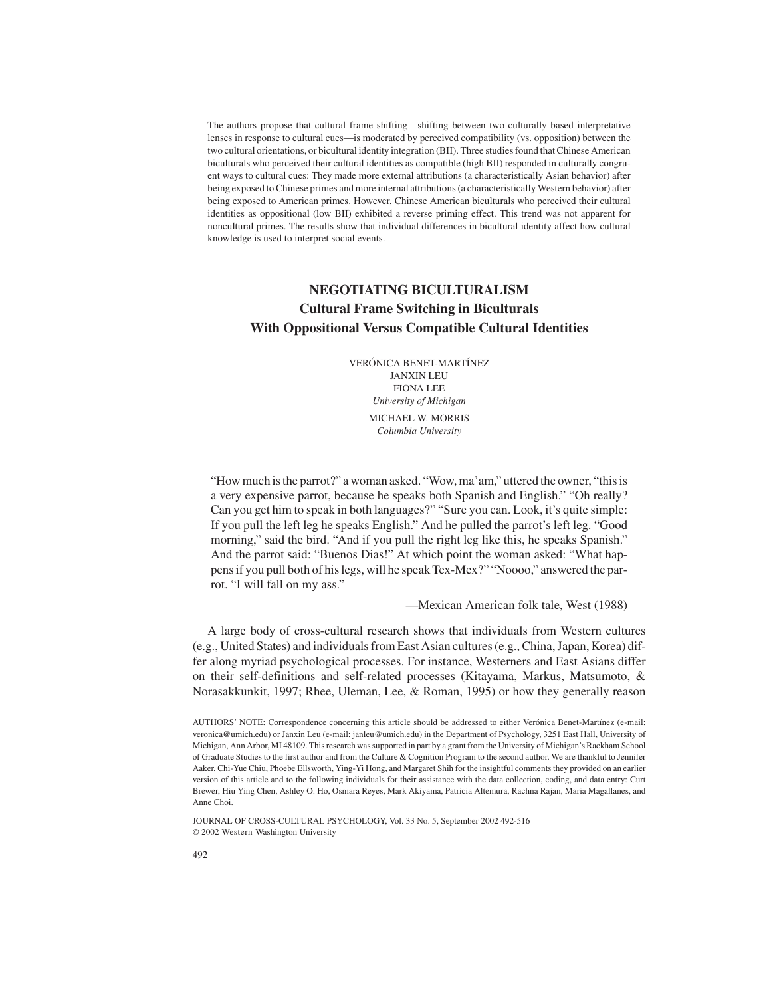The authors propose that cultural frame shifting—shifting between two culturally based interpretative lenses in response to cultural cues—is moderated by perceived compatibility (vs. opposition) between the two cultural orientations, or bicultural identity integration (BII). Three studies found that Chinese American biculturals who perceived their cultural identities as compatible (high BII) responded in culturally congruent ways to cultural cues: They made more external attributions (a characteristically Asian behavior) after being exposed to Chinese primes and more internal attributions (a characteristically Western behavior) after being exposed to American primes. However, Chinese American biculturals who perceived their cultural identities as oppositional (low BII) exhibited a reverse priming effect. This trend was not apparent for noncultural primes. The results show that individual differences in bicultural identity affect how cultural knowledge is used to interpret social events.

# **NEGOTIATING BICULTURALISM Cultural Frame Switching in Biculturals With Oppositional Versus Compatible Cultural Identities**

VERÓNICA BENET-MARTÍNEZ JANXIN LEU FIONA LEE *University of Michigan*

MICHAEL W. MORRIS *Columbia University*

"How much is the parrot?" a woman asked. "Wow, ma'am," uttered the owner, "this is a very expensive parrot, because he speaks both Spanish and English." "Oh really? Can you get him to speak in both languages?" "Sure you can. Look, it's quite simple: If you pull the left leg he speaks English." And he pulled the parrot's left leg. "Good morning," said the bird. "And if you pull the right leg like this, he speaks Spanish." And the parrot said: "Buenos Dias!" At which point the woman asked: "What happens if you pull both of his legs, will he speak Tex-Mex?" "Noooo," answered the parrot. "I will fall on my ass."

—Mexican American folk tale, West (1988)

A large body of cross-cultural research shows that individuals from Western cultures (e.g., United States) and individuals from East Asian cultures (e.g., China, Japan, Korea) differ along myriad psychological processes. For instance, Westerners and East Asians differ on their self-definitions and self-related processes (Kitayama, Markus, Matsumoto, & Norasakkunkit, 1997; Rhee, Uleman, Lee, & Roman, 1995) or how they generally reason

AUTHORS'NOTE: Correspondence concerning this article should be addressed to either Verónica Benet-Martínez (e-mail: veronica@umich.edu) or Janxin Leu (e-mail: janleu@umich.edu) in the Department of Psychology, 3251 East Hall, University of Michigan, Ann Arbor, MI 48109. This research was supported in part by a grant from the University of Michigan's Rackham School of Graduate Studies to the first author and from the Culture & Cognition Program to the second author. We are thankful to Jennifer Aaker, Chi-Yue Chiu, Phoebe Ellsworth, Ying-Yi Hong, and Margaret Shih for the insightful comments they provided on an earlier version of this article and to the following individuals for their assistance with the data collection, coding, and data entry: Curt Brewer, Hiu Ying Chen, Ashley O. Ho, Osmara Reyes, Mark Akiyama, Patricia Altemura, Rachna Rajan, Maria Magallanes, and Anne Choi.

JOURNAL OF CROSS-CULTURAL PSYCHOLOGY, Vol. 33 No. 5, September 2002 492-516 © 2002 Western Washington University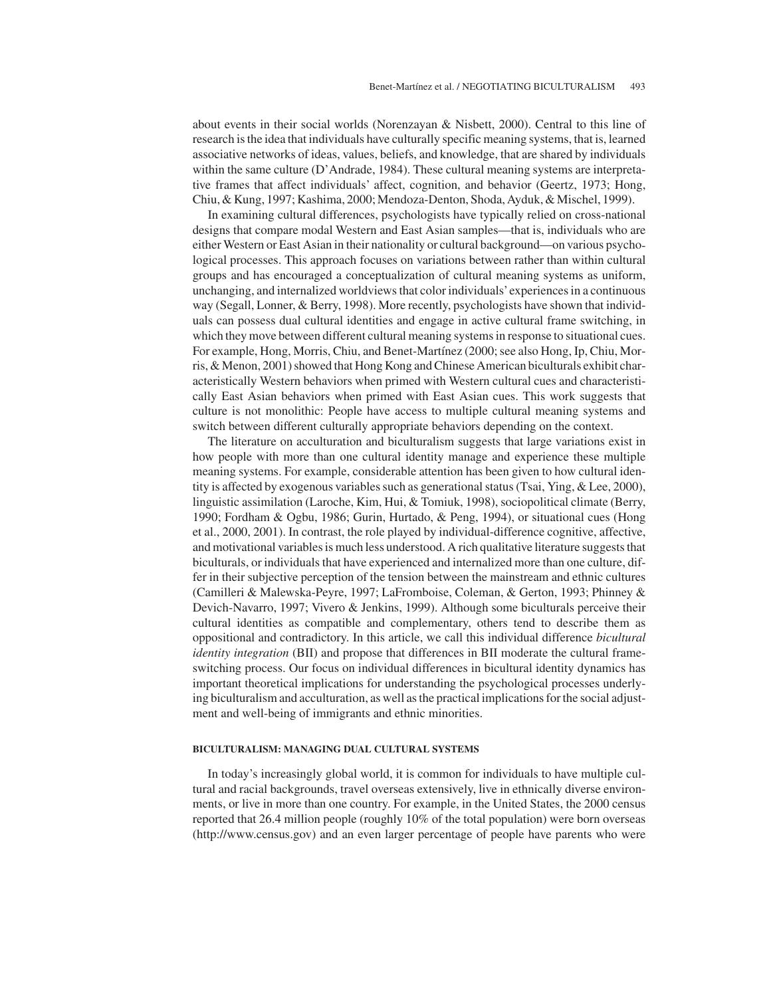about events in their social worlds (Norenzayan  $\&$  Nisbett, 2000). Central to this line of research is the idea that individuals have culturally specific meaning systems, that is, learned associative networks of ideas, values, beliefs, and knowledge, that are shared by individuals within the same culture (D'Andrade, 1984). These cultural meaning systems are interpretative frames that affect individuals'affect, cognition, and behavior (Geertz, 1973; Hong, Chiu, & Kung, 1997; Kashima, 2000; Mendoza-Denton, Shoda, Ayduk, & Mischel, 1999).

In examining cultural differences, psychologists have typically relied on cross-national designs that compare modal Western and East Asian samples—that is, individuals who are either Western or East Asian in their nationality or cultural background—on various psychological processes. This approach focuses on variations between rather than within cultural groups and has encouraged a conceptualization of cultural meaning systems as uniform, unchanging, and internalized worldviews that color individuals'experiences in a continuous way (Segall, Lonner, & Berry, 1998). More recently, psychologists have shown that individuals can possess dual cultural identities and engage in active cultural frame switching, in which they move between different cultural meaning systems in response to situational cues. For example, Hong, Morris, Chiu, and Benet-Martínez (2000; see also Hong, Ip, Chiu, Morris, & Menon, 2001) showed that Hong Kong and Chinese American biculturals exhibit characteristically Western behaviors when primed with Western cultural cues and characteristically East Asian behaviors when primed with East Asian cues. This work suggests that culture is not monolithic: People have access to multiple cultural meaning systems and switch between different culturally appropriate behaviors depending on the context.

The literature on acculturation and biculturalism suggests that large variations exist in how people with more than one cultural identity manage and experience these multiple meaning systems. For example, considerable attention has been given to how cultural identity is affected by exogenous variables such as generational status (Tsai, Ying, & Lee, 2000), linguistic assimilation (Laroche, Kim, Hui, & Tomiuk, 1998), sociopolitical climate (Berry, 1990; Fordham & Ogbu, 1986; Gurin, Hurtado, & Peng, 1994), or situational cues (Hong et al., 2000, 2001). In contrast, the role played by individual-difference cognitive, affective, and motivational variables is much less understood. A rich qualitative literature suggests that biculturals, or individuals that have experienced and internalized more than one culture, differ in their subjective perception of the tension between the mainstream and ethnic cultures (Camilleri & Malewska-Peyre, 1997; LaFromboise, Coleman, & Gerton, 1993; Phinney & Devich-Navarro, 1997; Vivero & Jenkins, 1999). Although some biculturals perceive their cultural identities as compatible and complementary, others tend to describe them as oppositional and contradictory. In this article, we call this individual difference *bicultural identity integration* (BII) and propose that differences in BII moderate the cultural frameswitching process. Our focus on individual differences in bicultural identity dynamics has important theoretical implications for understanding the psychological processes underlying biculturalism and acculturation, as well as the practical implications for the social adjustment and well-being of immigrants and ethnic minorities.

# **BICULTURALISM: MANAGING DUAL CULTURAL SYSTEMS**

In today's increasingly global world, it is common for individuals to have multiple cultural and racial backgrounds, travel overseas extensively, live in ethnically diverse environments, or live in more than one country. For example, in the United States, the 2000 census reported that 26.4 million people (roughly 10% of the total population) were born overseas (http://www.census.gov) and an even larger percentage of people have parents who were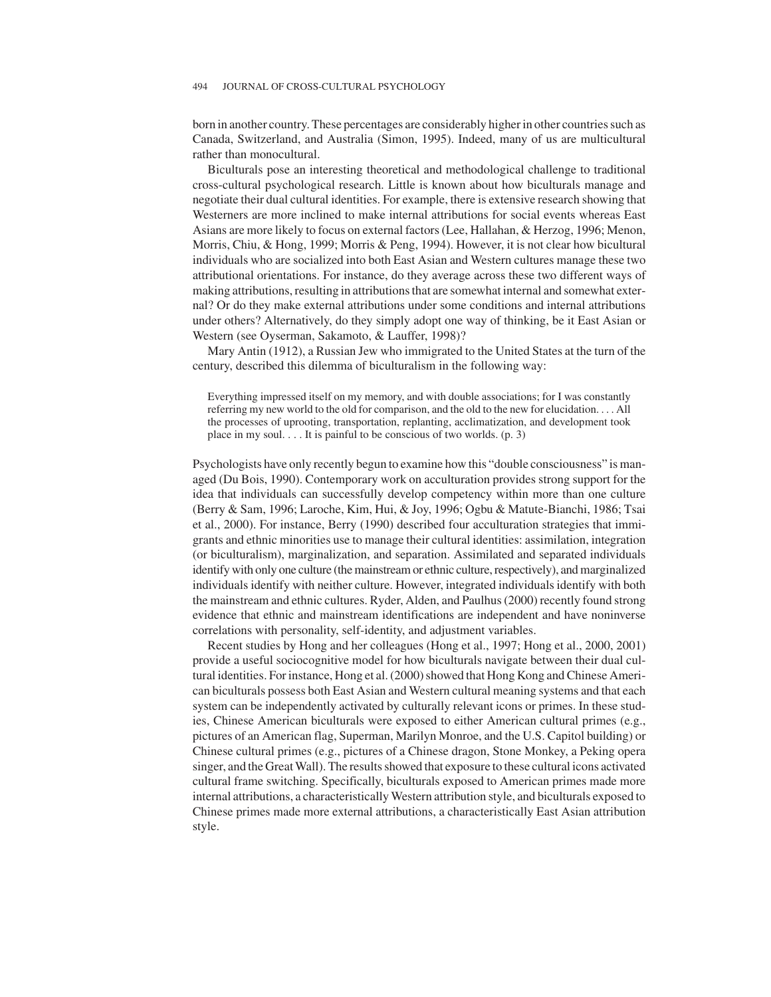born in another country. These percentages are considerably higher in other countries such as Canada, Switzerland, and Australia (Simon, 1995). Indeed, many of us are multicultural rather than monocultural.

Biculturals pose an interesting theoretical and methodological challenge to traditional cross-cultural psychological research. Little is known about how biculturals manage and negotiate their dual cultural identities. For example, there is extensive research showing that Westerners are more inclined to make internal attributions for social events whereas East Asians are more likely to focus on external factors (Lee, Hallahan, & Herzog, 1996; Menon, Morris, Chiu, & Hong, 1999; Morris & Peng, 1994). However, it is not clear how bicultural individuals who are socialized into both East Asian and Western cultures manage these two attributional orientations. For instance, do they average across these two different ways of making attributions, resulting in attributions that are somewhat internal and somewhat external? Or do they make external attributions under some conditions and internal attributions under others? Alternatively, do they simply adopt one way of thinking, be it East Asian or Western (see Oyserman, Sakamoto, & Lauffer, 1998)?

Mary Antin (1912), a Russian Jew who immigrated to the United States at the turn of the century, described this dilemma of biculturalism in the following way:

Everything impressed itself on my memory, and with double associations; for I was constantly referring my new world to the old for comparison, and the old to the new for elucidation. . . . All the processes of uprooting, transportation, replanting, acclimatization, and development took place in my soul.  $\dots$  It is painful to be conscious of two worlds. (p. 3)

Psychologists have only recently begun to examine how this "double consciousness" is managed (Du Bois, 1990). Contemporary work on acculturation provides strong support for the idea that individuals can successfully develop competency within more than one culture (Berry & Sam, 1996; Laroche, Kim, Hui, & Joy, 1996; Ogbu & Matute-Bianchi, 1986; Tsai et al., 2000). For instance, Berry (1990) described four acculturation strategies that immigrants and ethnic minorities use to manage their cultural identities: assimilation, integration (or biculturalism), marginalization, and separation. Assimilated and separated individuals identify with only one culture (the mainstream or ethnic culture, respectively), and marginalized individuals identify with neither culture. However, integrated individuals identify with both the mainstream and ethnic cultures. Ryder, Alden, and Paulhus (2000) recently found strong evidence that ethnic and mainstream identifications are independent and have noninverse correlations with personality, self-identity, and adjustment variables.

Recent studies by Hong and her colleagues (Hong et al., 1997; Hong et al., 2000, 2001) provide a useful sociocognitive model for how biculturals navigate between their dual cultural identities. For instance, Hong et al. (2000) showed that Hong Kong and Chinese American biculturals possess both East Asian and Western cultural meaning systems and that each system can be independently activated by culturally relevant icons or primes. In these studies, Chinese American biculturals were exposed to either American cultural primes (e.g., pictures of an American flag, Superman, Marilyn Monroe, and the U.S. Capitol building) or Chinese cultural primes (e.g., pictures of a Chinese dragon, Stone Monkey, a Peking opera singer, and the Great Wall). The results showed that exposure to these cultural icons activated cultural frame switching. Specifically, biculturals exposed to American primes made more internal attributions, a characteristically Western attribution style, and biculturals exposed to Chinese primes made more external attributions, a characteristically East Asian attribution style.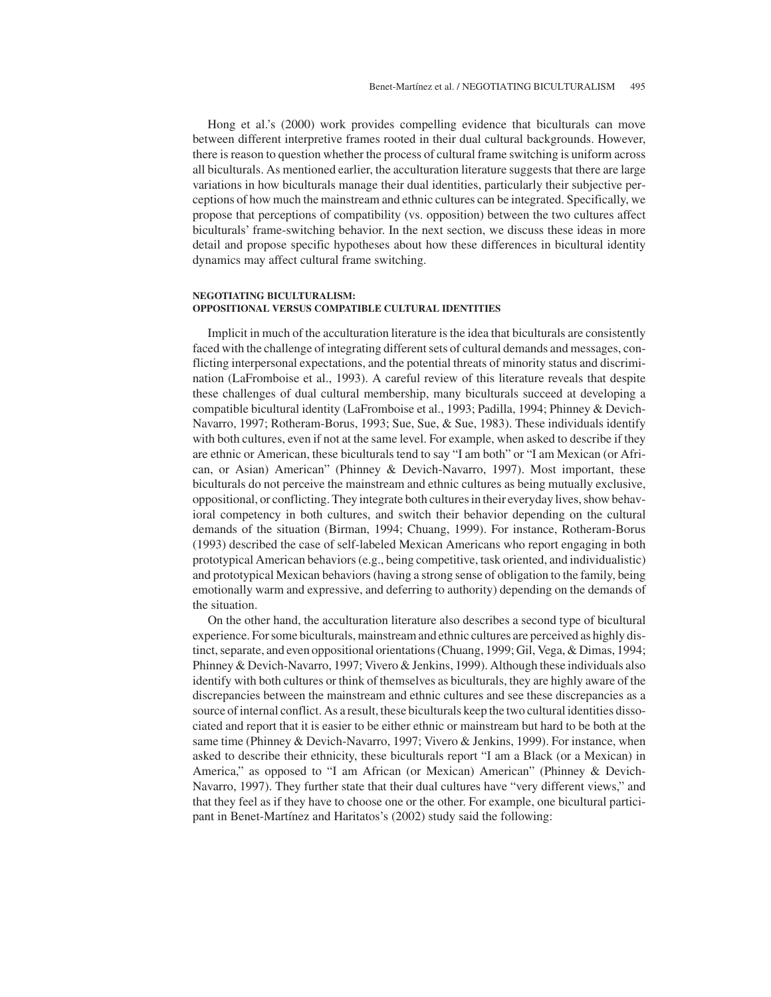Hong et al.'s (2000) work provides compelling evidence that biculturals can move between different interpretive frames rooted in their dual cultural backgrounds. However, there is reason to question whether the process of cultural frame switching is uniform across all biculturals. As mentioned earlier, the acculturation literature suggests that there are large variations in how biculturals manage their dual identities, particularly their subjective perceptions of how much the mainstream and ethnic cultures can be integrated. Specifically, we propose that perceptions of compatibility (vs. opposition) between the two cultures affect biculturals' frame-switching behavior. In the next section, we discuss these ideas in more detail and propose specific hypotheses about how these differences in bicultural identity dynamics may affect cultural frame switching.

# **NEGOTIATING BICULTURALISM: OPPOSITIONAL VERSUS COMPATIBLE CULTURAL IDENTITIES**

Implicit in much of the acculturation literature is the idea that biculturals are consistently faced with the challenge of integrating different sets of cultural demands and messages, conflicting interpersonal expectations, and the potential threats of minority status and discrimination (LaFromboise et al., 1993). A careful review of this literature reveals that despite these challenges of dual cultural membership, many biculturals succeed at developing a compatible bicultural identity (LaFromboise et al., 1993; Padilla, 1994; Phinney & Devich-Navarro, 1997; Rotheram-Borus, 1993; Sue, Sue, & Sue, 1983). These individuals identify with both cultures, even if not at the same level. For example, when asked to describe if they are ethnic or American, these biculturals tend to say "I am both" or "I am Mexican (or African, or Asian) American" (Phinney & Devich-Navarro, 1997). Most important, these biculturals do not perceive the mainstream and ethnic cultures as being mutually exclusive, oppositional, or conflicting. They integrate both cultures in their everyday lives, show behavioral competency in both cultures, and switch their behavior depending on the cultural demands of the situation (Birman, 1994; Chuang, 1999). For instance, Rotheram-Borus (1993) described the case of self-labeled Mexican Americans who report engaging in both prototypical American behaviors (e.g., being competitive, task oriented, and individualistic) and prototypical Mexican behaviors (having a strong sense of obligation to the family, being emotionally warm and expressive, and deferring to authority) depending on the demands of the situation.

On the other hand, the acculturation literature also describes a second type of bicultural experience. For some biculturals, mainstream and ethnic cultures are perceived as highly distinct, separate, and even oppositional orientations (Chuang, 1999; Gil, Vega, & Dimas, 1994; Phinney & Devich-Navarro, 1997; Vivero & Jenkins, 1999). Although these individuals also identify with both cultures or think of themselves as biculturals, they are highly aware of the discrepancies between the mainstream and ethnic cultures and see these discrepancies as a source of internal conflict. As a result, these biculturals keep the two cultural identities dissociated and report that it is easier to be either ethnic or mainstream but hard to be both at the same time (Phinney & Devich-Navarro, 1997; Vivero & Jenkins, 1999). For instance, when asked to describe their ethnicity, these biculturals report "I am a Black (or a Mexican) in America," as opposed to "I am African (or Mexican) American" (Phinney & Devich-Navarro, 1997). They further state that their dual cultures have "very different views," and that they feel as if they have to choose one or the other. For example, one bicultural participant in Benet-Martínez and Haritatos's (2002) study said the following: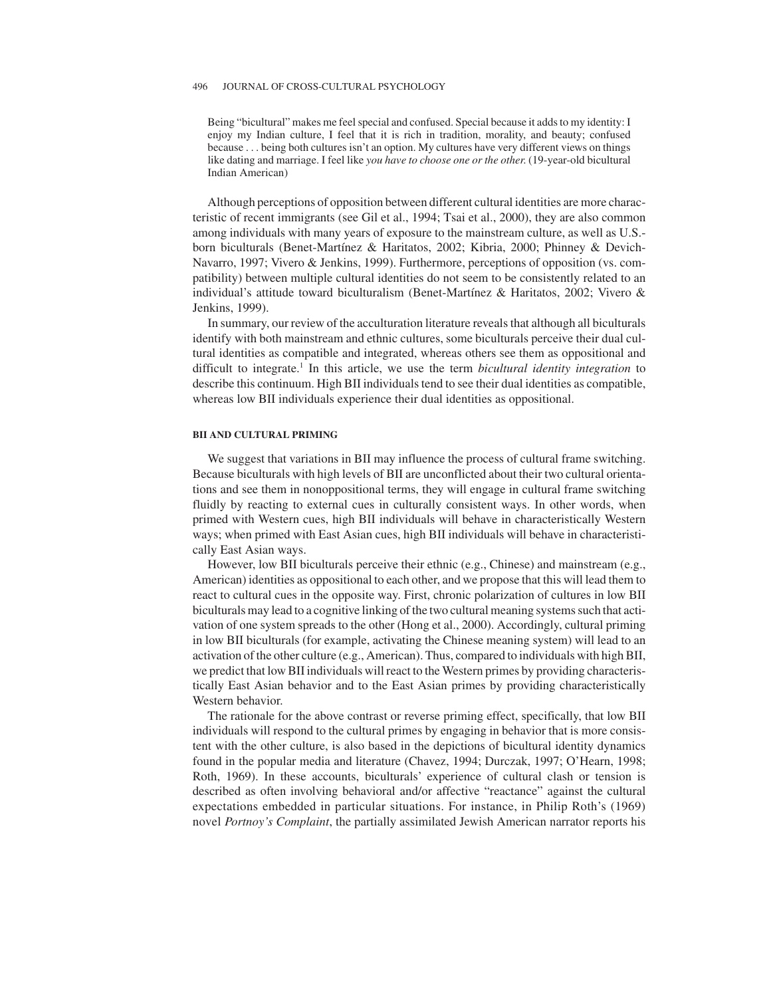Being "bicultural" makes me feel special and confused. Special because it adds to my identity: I enjoy my Indian culture, I feel that it is rich in tradition, morality, and beauty; confused because ...being both cultures isn't an option. My cultures have very different views on things like dating and marriage. I feel like *you have to choose one or the other*. (19-year-old bicultural Indian American)

Although perceptions of opposition between different cultural identities are more characteristic of recent immigrants (see Gil et al., 1994; Tsai et al., 2000), they are also common among individuals with many years of exposure to the mainstream culture, as well as U.S. born biculturals (Benet-Martínez & Haritatos, 2002; Kibria, 2000; Phinney & Devich-Navarro, 1997; Vivero & Jenkins, 1999). Furthermore, perceptions of opposition (vs. compatibility) between multiple cultural identities do not seem to be consistently related to an individual's attitude toward biculturalism (Benet-Martínez & Haritatos, 2002; Vivero & Jenkins, 1999).

In summary, our review of the acculturation literature reveals that although all biculturals identify with both mainstream and ethnic cultures, some biculturals perceive their dual cultural identities as compatible and integrated, whereas others see them as oppositional and difficult to integrate.1 In this article, we use the term *bicultural identity integration* to describe this continuum. High BII individuals tend to see their dual identities as compatible, whereas low BII individuals experience their dual identities as oppositional.

#### **BII AND CULTURAL PRIMING**

We suggest that variations in BII may influence the process of cultural frame switching. Because biculturals with high levels of BII are unconflicted about their two cultural orientations and see them in nonoppositional terms, they will engage in cultural frame switching fluidly by reacting to external cues in culturally consistent ways. In other words, when primed with Western cues, high BII individuals will behave in characteristically Western ways; when primed with East Asian cues, high BII individuals will behave in characteristically East Asian ways.

However, low BII biculturals perceive their ethnic (e.g., Chinese) and mainstream (e.g., American) identities as oppositional to each other, and we propose that this will lead them to react to cultural cues in the opposite way. First, chronic polarization of cultures in low BII biculturals may lead to a cognitive linking of the two cultural meaning systems such that activation of one system spreads to the other (Hong et al., 2000). Accordingly, cultural priming in low BII biculturals (for example, activating the Chinese meaning system) will lead to an activation of the other culture (e.g., American). Thus, compared to individuals with high BII, we predict that low BII individuals will react to the Western primes by providing characteristically East Asian behavior and to the East Asian primes by providing characteristically Western behavior.

The rationale for the above contrast or reverse priming effect, specifically, that low BII individuals will respond to the cultural primes by engaging in behavior that is more consistent with the other culture, is also based in the depictions of bicultural identity dynamics found in the popular media and literature (Chavez, 1994; Durczak, 1997; O'Hearn, 1998; Roth, 1969). In these accounts, biculturals'experience of cultural clash or tension is described as often involving behavioral and/or affective "reactance" against the cultural expectations embedded in particular situations. For instance, in Philip Roth's (1969) novel *Portnoy's Complaint*, the partially assimilated Jewish American narrator reports his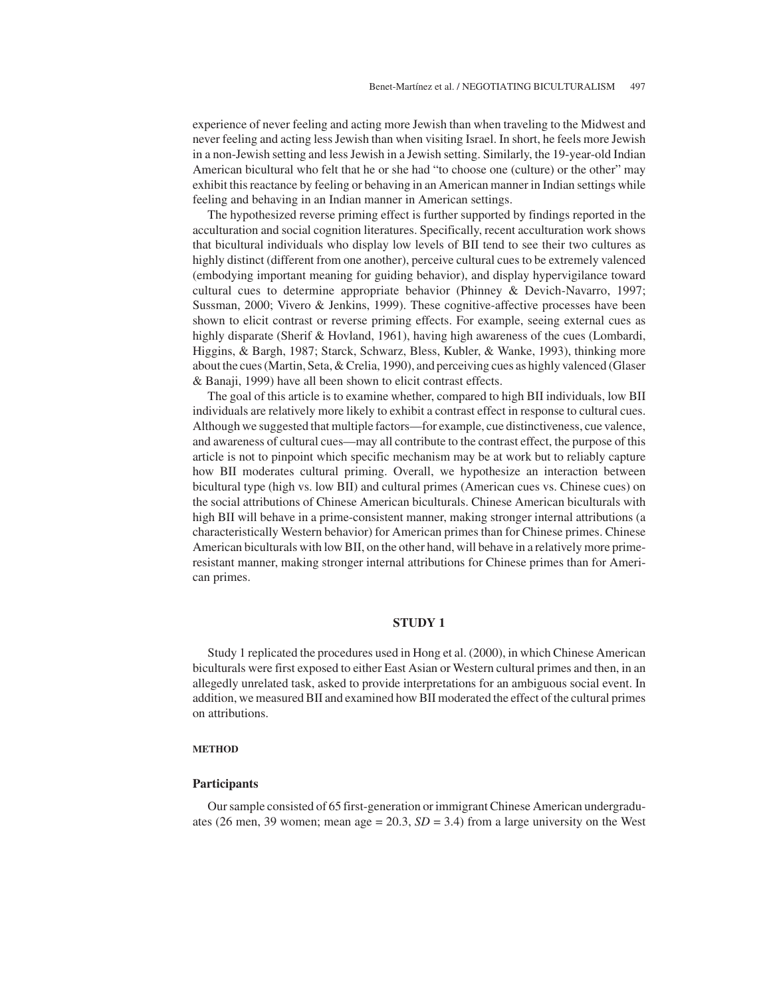experience of never feeling and acting more Jewish than when traveling to the Midwest and never feeling and acting less Jewish than when visiting Israel. In short, he feels more Jewish in a non-Jewish setting and less Jewish in a Jewish setting. Similarly, the 19-year-old Indian American bicultural who felt that he or she had "to choose one (culture) or the other" may exhibit this reactance by feeling or behaving in an American manner in Indian settings while feeling and behaving in an Indian manner in American settings.

The hypothesized reverse priming effect is further supported by findings reported in the acculturation and social cognition literatures. Specifically, recent acculturation work shows that bicultural individuals who display low levels of BII tend to see their two cultures as highly distinct (different from one another), perceive cultural cues to be extremely valenced (embodying important meaning for guiding behavior), and display hypervigilance toward cultural cues to determine appropriate behavior (Phinney & Devich-Navarro, 1997; Sussman, 2000; Vivero & Jenkins, 1999). These cognitive-affective processes have been shown to elicit contrast or reverse priming effects. For example, seeing external cues as highly disparate (Sherif & Hovland, 1961), having high awareness of the cues (Lombardi, Higgins, & Bargh, 1987; Starck, Schwarz, Bless, Kubler, & Wanke, 1993), thinking more about the cues (Martin, Seta, & Crelia, 1990), and perceiving cues as highly valenced (Glaser & Banaji, 1999) have all been shown to elicit contrast effects.

The goal of this article is to examine whether, compared to high BII individuals, low BII individuals are relatively more likely to exhibit a contrast effect in response to cultural cues. Although we suggested that multiple factors—for example, cue distinctiveness, cue valence, and awareness of cultural cues—may all contribute to the contrast effect, the purpose of this article is not to pinpoint which specific mechanism may be at work but to reliably capture how BII moderates cultural priming. Overall, we hypothesize an interaction between bicultural type (high vs. low BII) and cultural primes (American cues vs. Chinese cues) on the social attributions of Chinese American biculturals. Chinese American biculturals with high BII will behave in a prime-consistent manner, making stronger internal attributions (a characteristically Western behavior) for American primes than for Chinese primes. Chinese American biculturals with low BII, on the other hand, will behave in a relatively more primeresistant manner, making stronger internal attributions for Chinese primes than for American primes.

# **STUDY 1**

Study 1 replicated the procedures used in Hong et al. (2000), in which Chinese American biculturals were first exposed to either East Asian or Western cultural primes and then, in an allegedly unrelated task, asked to provide interpretations for an ambiguous social event. In addition, we measured BII and examined how BII moderated the effect of the cultural primes on attributions.

# **METHOD**

### **Participants**

Our sample consisted of 65 first-generation or immigrant Chinese American undergraduates (26 men, 39 women; mean age =  $20.3$ ,  $SD = 3.4$ ) from a large university on the West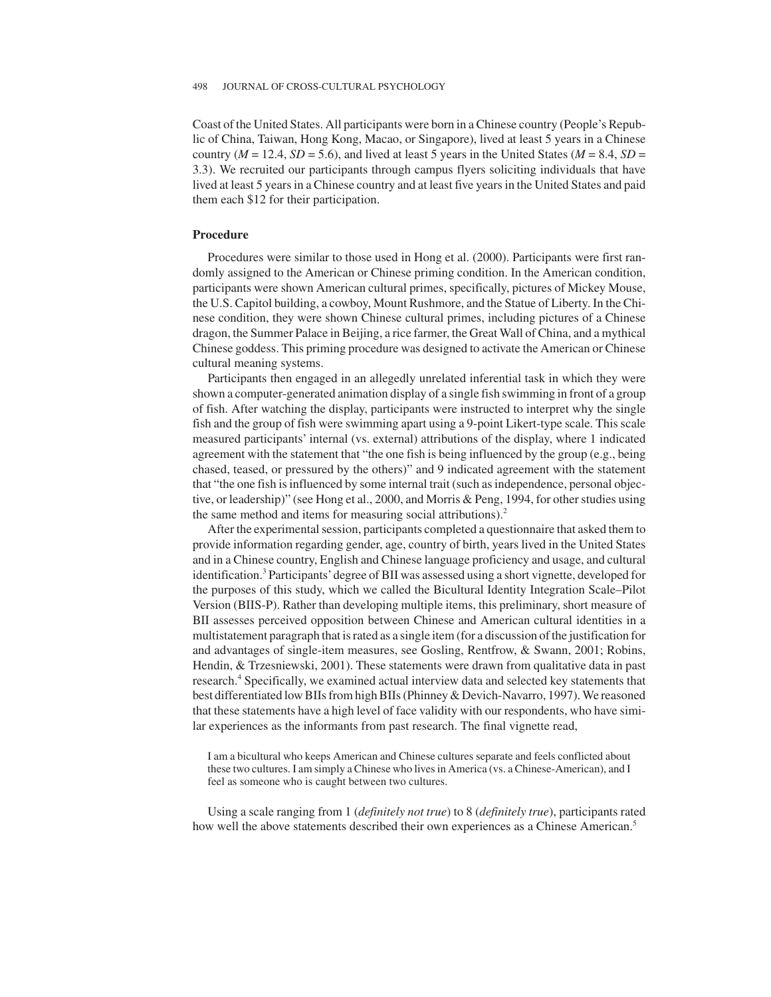Coast of the United States. All participants were born in a Chinese country (People's Republic of China, Taiwan, Hong Kong, Macao, or Singapore), lived at least 5 years in a Chinese country ( $M = 12.4$ ,  $SD = 5.6$ ), and lived at least 5 years in the United States ( $M = 8.4$ ,  $SD =$ 3.3). We recruited our participants through campus flyers soliciting individuals that have lived at least 5 years in a Chinese country and at least five years in the United States and paid them each \$12 for their participation.

# **Procedure**

Procedures were similar to those used in Hong et al. (2000). Participants were first randomly assigned to the American or Chinese priming condition. In the American condition, participants were shown American cultural primes, specifically, pictures of Mickey Mouse, the U.S. Capitol building, a cowboy, Mount Rushmore, and the Statue of Liberty. In the Chinese condition, they were shown Chinese cultural primes, including pictures of a Chinese dragon, the Summer Palace in Beijing, a rice farmer, the Great Wall of China, and a mythical Chinese goddess. This priming procedure was designed to activate the American or Chinese cultural meaning systems.

Participants then engaged in an allegedly unrelated inferential task in which they were shown a computer-generated animation display of a single fish swimming in front of a group of fish. After watching the display, participants were instructed to interpret why the single fish and the group of fish were swimming apart using a 9-point Likert-type scale. This scale measured participants'internal (vs. external) attributions of the display, where 1 indicated agreement with the statement that "the one fish is being influenced by the group (e.g., being chased, teased, or pressured by the others)" and 9 indicated agreement with the statement that "the one fish is influenced by some internal trait (such as independence, personal objective, or leadership)" (see Hong et al., 2000, and Morris & Peng, 1994, for other studies using the same method and items for measuring social attributions).<sup>2</sup>

After the experimental session, participants completed a questionnaire that asked them to provide information regarding gender, age, country of birth, years lived in the United States and in a Chinese country, English and Chinese language proficiency and usage, and cultural identification.<sup>3</sup> Participants' degree of BII was assessed using a short vignette, developed for the purposes of this study, which we called the Bicultural Identity Integration Scale–Pilot Version (BIIS-P). Rather than developing multiple items, this preliminary, short measure of BII assesses perceived opposition between Chinese and American cultural identities in a multistatement paragraph that is rated as a single item (for a discussion of the justification for and advantages of single-item measures, see Gosling, Rentfrow, & Swann, 2001; Robins, Hendin, & Trzesniewski, 2001). These statements were drawn from qualitative data in past research.<sup>4</sup> Specifically, we examined actual interview data and selected key statements that best differentiated low BIIs from high BIIs (Phinney & Devich-Navarro, 1997). We reasoned that these statements have a high level of face validity with our respondents, who have similar experiences as the informants from past research. The final vignette read,

I am a bicultural who keeps American and Chinese cultures separate and feels conflicted about these two cultures. I am simply a Chinese who lives in America (vs. a Chinese-American), and I feel as someone who is caught between two cultures.

Using a scale ranging from 1 (*definitely not true*) to 8 (*definitely true*), participants rated how well the above statements described their own experiences as a Chinese American.<sup>5</sup>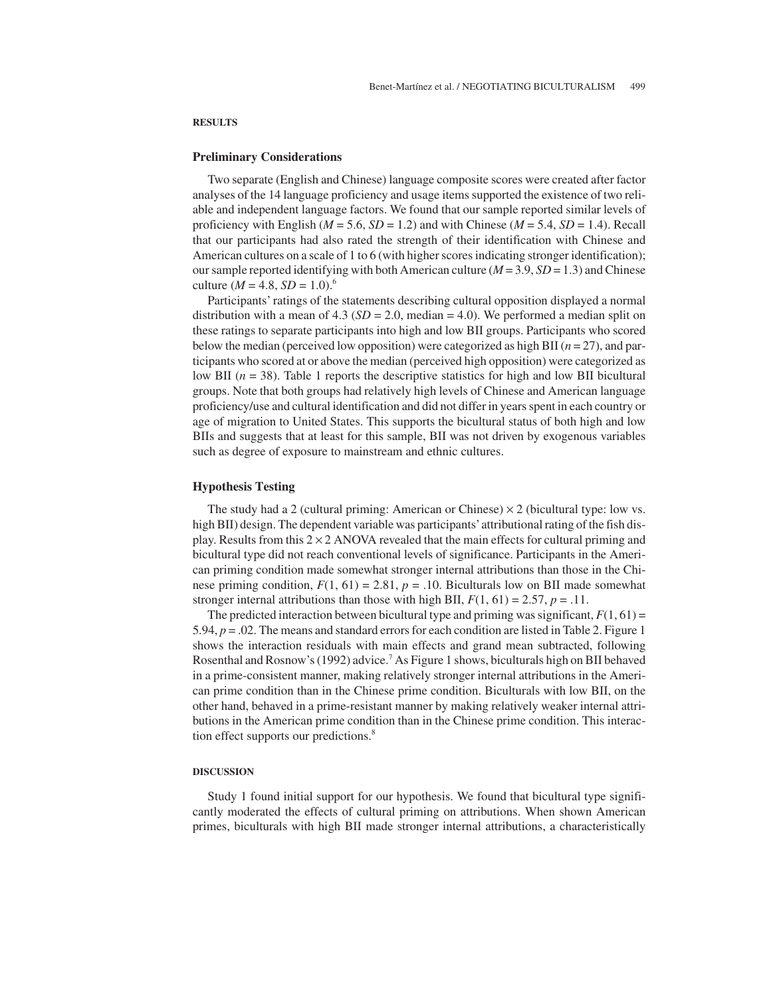#### **RESULTS**

#### **Preliminary Considerations**

Two separate (English and Chinese) language composite scores were created after factor analyses of the 14 language proficiency and usage items supported the existence of two reliable and independent language factors. We found that our sample reported similar levels of proficiency with English ( $M = 5.6$ ,  $SD = 1.2$ ) and with Chinese ( $M = 5.4$ ,  $SD = 1.4$ ). Recall that our participants had also rated the strength of their identification with Chinese and American cultures on a scale of 1 to 6 (with higher scores indicating stronger identification); our sample reported identifying with both American culture (*M* = 3.9, *SD* = 1.3) and Chinese culture  $(M = 4.8, SD = 1.0)^6$ 

Participants' ratings of the statements describing cultural opposition displayed a normal distribution with a mean of 4.3 ( $SD = 2.0$ , median = 4.0). We performed a median split on these ratings to separate participants into high and low BII groups. Participants who scored below the median (perceived low opposition) were categorized as high BII (*n* = 27), and participants who scored at or above the median (perceived high opposition) were categorized as low BII  $(n = 38)$ . Table 1 reports the descriptive statistics for high and low BII bicultural groups. Note that both groups had relatively high levels of Chinese and American language proficiency/use and cultural identification and did not differ in years spent in each country or age of migration to United States. This supports the bicultural status of both high and low BIIs and suggests that at least for this sample, BII was not driven by exogenous variables such as degree of exposure to mainstream and ethnic cultures.

#### **Hypothesis Testing**

The study had a 2 (cultural priming: American or Chinese)  $\times$  2 (bicultural type: low vs. high BII) design. The dependent variable was participants' attributional rating of the fish display. Results from this  $2 \times 2$  ANOVA revealed that the main effects for cultural priming and bicultural type did not reach conventional levels of significance. Participants in the American priming condition made somewhat stronger internal attributions than those in the Chinese priming condition,  $F(1, 61) = 2.81$ ,  $p = .10$ . Biculturals low on BII made somewhat stronger internal attributions than those with high BII,  $F(1, 61) = 2.57$ ,  $p = .11$ .

The predicted interaction between bicultural type and priming was significant,  $F(1, 61) =$ 5.94,  $p = 0.02$ . The means and standard errors for each condition are listed in Table 2. Figure 1 shows the interaction residuals with main effects and grand mean subtracted, following Rosenthal and Rosnow's (1992) advice.7 As Figure 1 shows, biculturals high on BII behaved in a prime-consistent manner, making relatively stronger internal attributions in the American prime condition than in the Chinese prime condition. Biculturals with low BII, on the other hand, behaved in a prime-resistant manner by making relatively weaker internal attributions in the American prime condition than in the Chinese prime condition. This interaction effect supports our predictions.<sup>8</sup>

#### **DISCUSSION**

Study 1 found initial support for our hypothesis. We found that bicultural type significantly moderated the effects of cultural priming on attributions. When shown American primes, biculturals with high BII made stronger internal attributions, a characteristically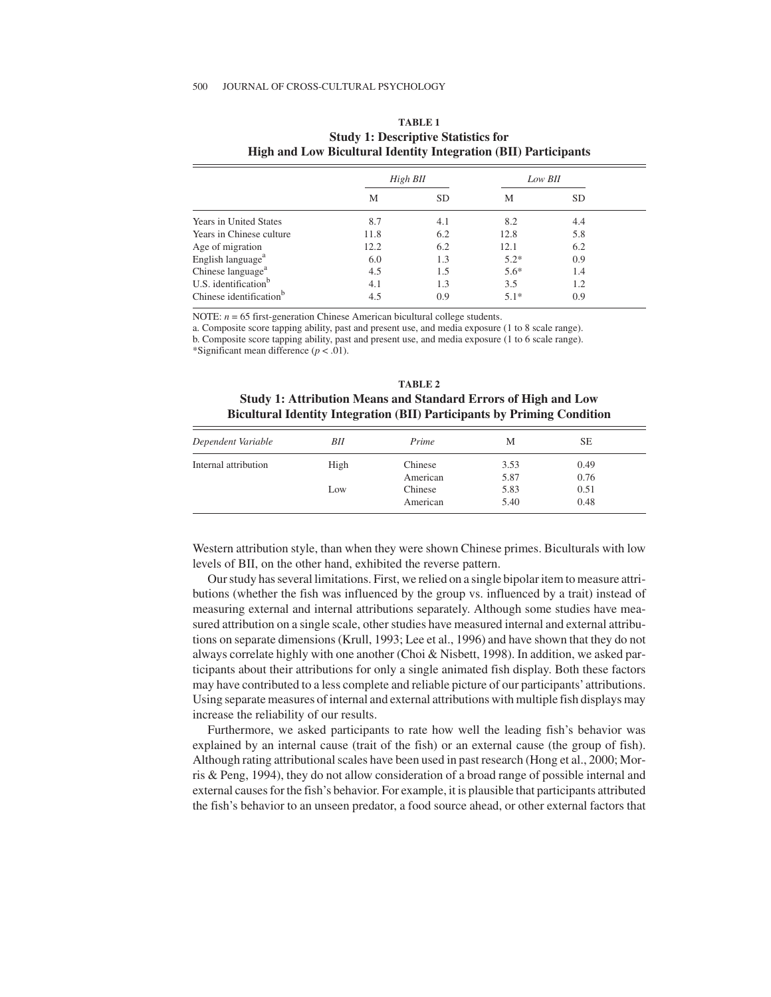|                                     | High BII |           | Low BII |           |  |
|-------------------------------------|----------|-----------|---------|-----------|--|
|                                     | М        | <b>SD</b> | М       | <b>SD</b> |  |
| Years in United States              | 8.7      | 4.1       | 8.2     | 4.4       |  |
| Years in Chinese culture            | 11.8     | 6.2       | 12.8    | 5.8       |  |
| Age of migration                    | 12.2     | 6.2       | 12.1    | 6.2       |  |
| English language <sup>a</sup>       | 6.0      | 1.3       | $5.2*$  | 0.9       |  |
| Chinese language <sup>a</sup>       | 4.5      | 1.5       | $5.6*$  | 1.4       |  |
| U.S. identification $b$             | 4.1      | 1.3       | 3.5     | 1.2       |  |
| Chinese identification <sup>b</sup> | 4.5      | 0.9       | $5.1*$  | 0.9       |  |

# **TABLE1 Study 1: Descriptive Statistics for High and Low Bicultural Identity Integration (BII) Participants**

NOTE:  $n = 65$  first-generation Chinese American bicultural college students.

a. Composite score tapping ability, past and present use, and media exposure (1 to 8 scale range). b. Composite score tapping ability, past and present use, and media exposure (1 to 6 scale range). \*Significant mean difference  $(p < .01)$ .

| TABLE 2                                                                        |
|--------------------------------------------------------------------------------|
| <b>Study 1: Attribution Means and Standard Errors of High and Low</b>          |
| <b>Bicultural Identity Integration (BII) Participants by Priming Condition</b> |

| Dependent Variable   | BII  | Prime    | M    | SЕ   |  |
|----------------------|------|----------|------|------|--|
| Internal attribution | High | Chinese  | 3.53 | 0.49 |  |
|                      |      | American | 5.87 | 0.76 |  |
|                      | Low  | Chinese  | 5.83 | 0.51 |  |
|                      |      | American | 5.40 | 0.48 |  |

Western attribution style, than when they were shown Chinese primes. Biculturals with low levels of BII, on the other hand, exhibited the reverse pattern.

Our study has several limitations. First, we relied on a single bipolar item to measure attributions (whether the fish was influenced by the group vs. influenced by a trait) instead of measuring external and internal attributions separately. Although some studies have measured attribution on a single scale, other studies have measured internal and external attributions on separate dimensions (Krull, 1993; Lee et al., 1996) and have shown that they do not always correlate highly with one another (Choi  $\&$  Nisbett, 1998). In addition, we asked participants about their attributions for only a single animated fish display. Both these factors may have contributed to a less complete and reliable picture of our participants'attributions. Using separate measures of internal and external attributions with multiple fish displays may increase the reliability of our results.

Furthermore, we asked participants to rate how well the leading fish's behavior was explained by an internal cause (trait of the fish) or an external cause (the group of fish). Although rating attributional scales have been used in past research (Hong et al., 2000; Morris & Peng, 1994), they do not allow consideration of a broad range of possible internal and external causes for the fish's behavior. For example, it is plausible that participants attributed the fish's behavior to an unseen predator, a food source ahead, or other external factors that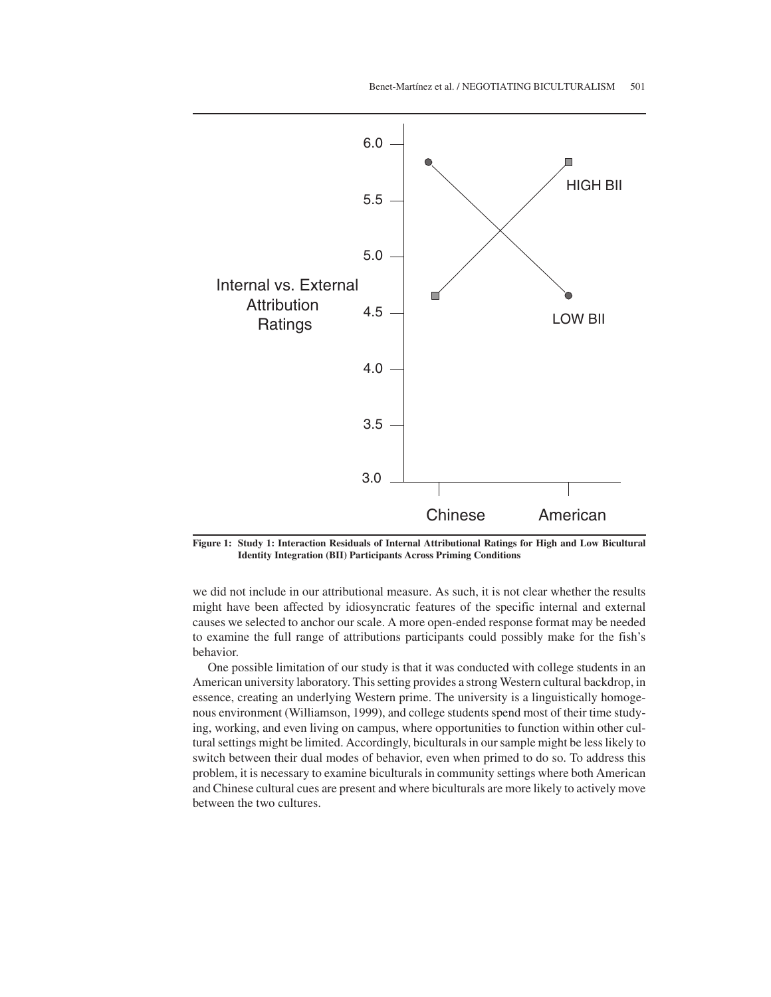

**Figure 1: Study 1: Interaction Residuals of Internal Attributional Ratings for High and Low Bicultural Identity Integration (BII) Participants Across Priming Conditions**

we did not include in our attributional measure. As such, it is not clear whether the results might have been affected by idiosyncratic features of the specific internal and external causes we selected to anchor our scale. A more open-ended response format may be needed to examine the full range of attributions participants could possibly make for the fish's behavior.

One possible limitation of our study is that it was conducted with college students in an American university laboratory. This setting provides a strong Western cultural backdrop, in essence, creating an underlying Western prime. The university is a linguistically homogenous environment (Williamson, 1999), and college students spend most of their time studying, working, and even living on campus, where opportunities to function within other cultural settings might be limited. Accordingly, biculturals in our sample might be less likely to switch between their dual modes of behavior, even when primed to do so. To address this problem, it is necessary to examine biculturals in community settings where both American and Chinese cultural cues are present and where biculturals are more likely to actively move between the two cultures.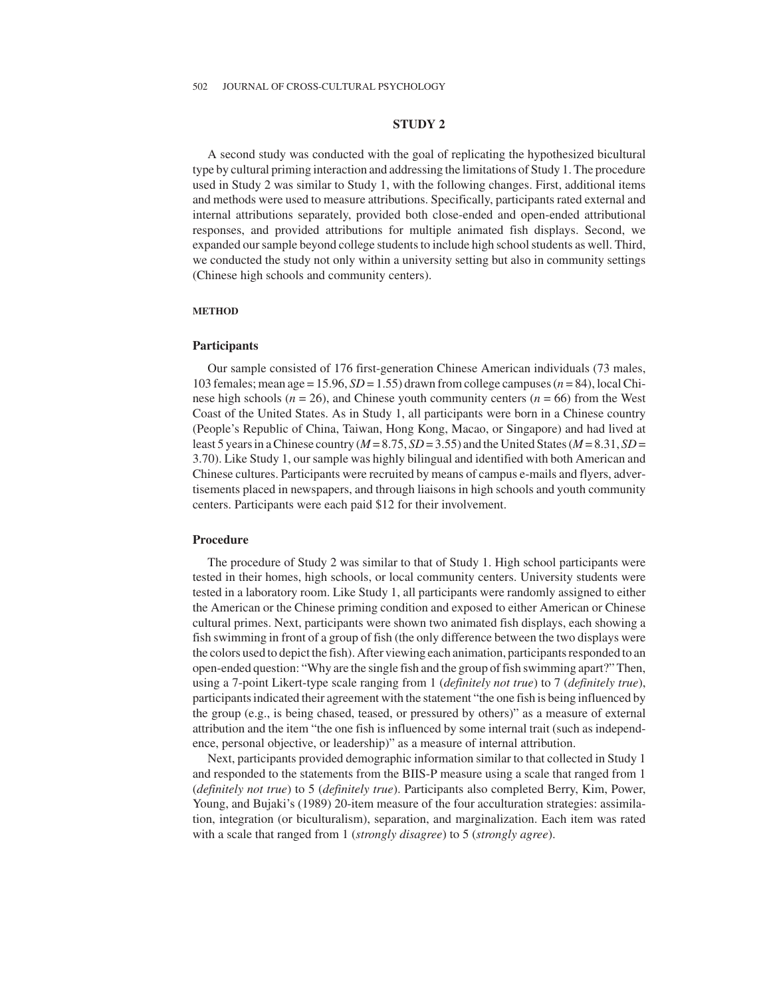# **STUDY 2**

A second study was conducted with the goal of replicating the hypothesized bicultural type by cultural priming interaction and addressing the limitations of Study 1. The procedure used in Study 2 was similar to Study 1, with the following changes. First, additional items and methods were used to measure attributions. Specifically, participants rated external and internal attributions separately, provided both close-ended and open-ended attributional responses, and provided attributions for multiple animated fish displays. Second, we expanded our sample beyond college students to include high school students as well. Third, we conducted the study not only within a university setting but also in community settings (Chinese high schools and community centers).

# **METHOD**

#### **Participants**

Our sample consisted of 176 first-generation Chinese American individuals (73 males, 103 females; mean age = 15.96, *SD* = 1.55) drawn from college campuses (*n* = 84), local Chinese high schools (*n* = 26), and Chinese youth community centers (*n* = 66) from the West Coast of the United States. As in Study 1, all participants were born in a Chinese country (People's Republic of China, Taiwan, Hong Kong, Macao, or Singapore) and had lived at least 5 years in a Chinese country  $(M = 8.75, SD = 3.55)$  and the United States  $(M = 8.31, SD =$ 3.70). Like Study 1, our sample was highly bilingual and identified with both American and Chinese cultures. Participants were recruited by means of campus e-mails and flyers, advertisements placed in newspapers, and through liaisons in high schools and youth community centers. Participants were each paid \$12 for their involvement.

### **Procedure**

The procedure of Study 2 was similar to that of Study 1. High school participants were tested in their homes, high schools, or local community centers. University students were tested in a laboratory room. Like Study 1, all participants were randomly assigned to either the American or the Chinese priming condition and exposed to either American or Chinese cultural primes. Next, participants were shown two animated fish displays, each showing a fish swimming in front of a group of fish (the only difference between the two displays were the colors used to depict the fish). After viewing each animation, participants responded to an open-ended question: "Why are the single fish and the group of fish swimming apart?" Then, using a 7-point Likert-type scale ranging from 1 (*definitely not true*) to 7 (*definitely true*), participants indicated their agreement with the statement "the one fish is being influenced by the group (e.g., is being chased, teased, or pressured by others)" as a measure of external attribution and the item "the one fish is influenced by some internal trait (such as independence, personal objective, or leadership)" as a measure of internal attribution.

Next, participants provided demographic information similar to that collected in Study 1 and responded to the statements from the BIIS-P measure using a scale that ranged from 1 (*definitely not true*) to 5 (*definitely true*). Participants also completed Berry, Kim, Power, Young, and Bujaki's (1989) 20-item measure of the four acculturation strategies: assimilation, integration (or biculturalism), separation, and marginalization. Each item was rated with a scale that ranged from 1 (*strongly disagree*) to 5 (*strongly agree*).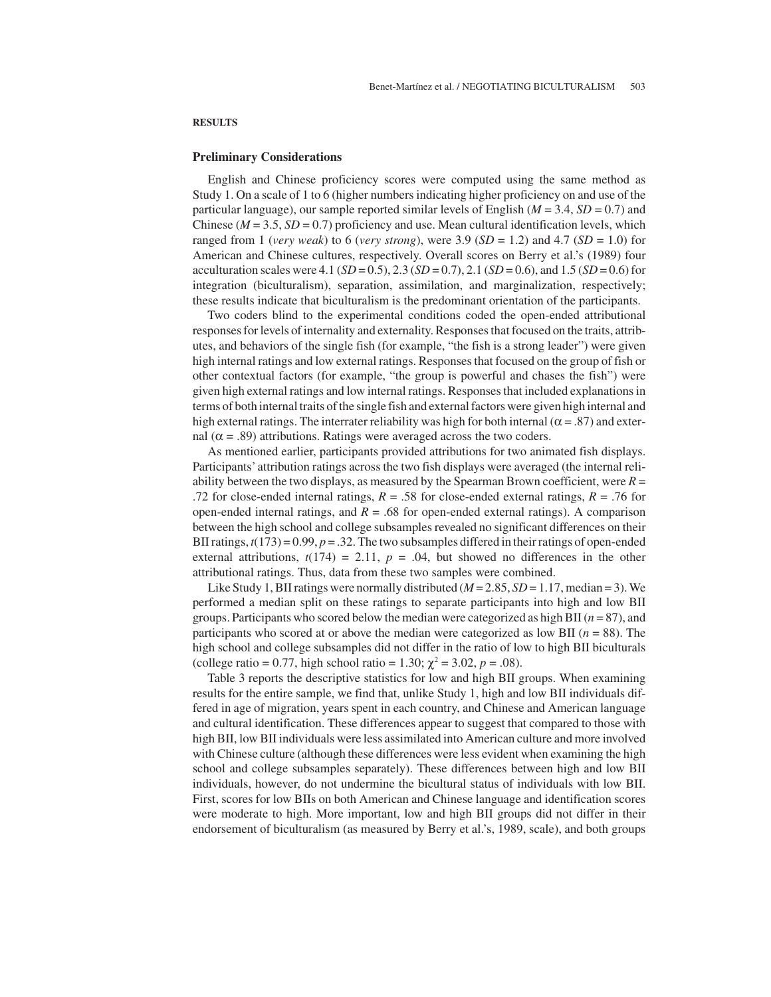#### **RESULTS**

#### **Preliminary Considerations**

English and Chinese proficiency scores were computed using the same method as Study 1. On a scale of 1 to 6 (higher numbers indicating higher proficiency on and use of the particular language), our sample reported similar levels of English (*M* = 3.4, *SD* = 0.7) and Chinese ( $M = 3.5$ ,  $SD = 0.7$ ) proficiency and use. Mean cultural identification levels, which ranged from 1 (*very weak*) to 6 (*very strong*), were 3.9 (*SD* = 1.2) and 4.7 (*SD* = 1.0) for American and Chinese cultures, respectively. Overall scores on Berry et al.'s (1989) four acculturation scales were 4.1 (*SD* = 0.5), 2.3 (*SD* = 0.7), 2.1 (*SD* = 0.6), and 1.5 (*SD* = 0.6) for integration (biculturalism), separation, assimilation, and marginalization, respectively; these results indicate that biculturalism is the predominant orientation of the participants.

Two coders blind to the experimental conditions coded the open-ended attributional responses for levels of internality and externality. Responses that focused on the traits, attributes, and behaviors of the single fish (for example, "the fish is a strong leader") were given high internal ratings and low external ratings. Responses that focused on the group of fish or other contextual factors (for example, "the group is powerful and chases the fish") were given high external ratings and low internal ratings. Responses that included explanations in terms of both internal traits of the single fish and external factors were given high internal and high external ratings. The interrater reliability was high for both internal ( $\alpha$  = .87) and external ( $\alpha$  = .89) attributions. Ratings were averaged across the two coders.

As mentioned earlier, participants provided attributions for two animated fish displays. Participants'attribution ratings across the two fish displays were averaged (the internal reliability between the two displays, as measured by the Spearman Brown coefficient, were *R* = .72 for close-ended internal ratings,  $R = .58$  for close-ended external ratings,  $R = .76$  for open-ended internal ratings, and  $R = .68$  for open-ended external ratings). A comparison between the high school and college subsamples revealed no significant differences on their BII ratings,  $t(173) = 0.99$ ,  $p = .32$ . The two subsamples differed in their ratings of open-ended external attributions,  $t(174) = 2.11$ ,  $p = .04$ , but showed no differences in the other attributional ratings. Thus, data from these two samples were combined.

Like Study 1, BII ratings were normally distributed  $(M = 2.85, SD = 1.17, median = 3)$ . We performed a median split on these ratings to separate participants into high and low BII groups. Participants who scored below the median were categorized as high BII (*n* = 87), and participants who scored at or above the median were categorized as low BII (*n* = 88). The high school and college subsamples did not differ in the ratio of low to high BII biculturals (college ratio = 0.77, high school ratio = 1.30;  $\chi^2$  = 3.02, *p* = .08).

Table 3 reports the descriptive statistics for low and high BII groups. When examining results for the entire sample, we find that, unlike Study 1, high and low BII individuals differed in age of migration, years spent in each country, and Chinese and American language and cultural identification. These differences appear to suggest that compared to those with high BII, low BII individuals were less assimilated into American culture and more involved with Chinese culture (although these differences were less evident when examining the high school and college subsamples separately). These differences between high and low BII individuals, however, do not undermine the bicultural status of individuals with low BII. First, scores for low BIIs on both American and Chinese language and identification scores were moderate to high. More important, low and high BII groups did not differ in their endorsement of biculturalism (as measured by Berry et al.'s, 1989, scale), and both groups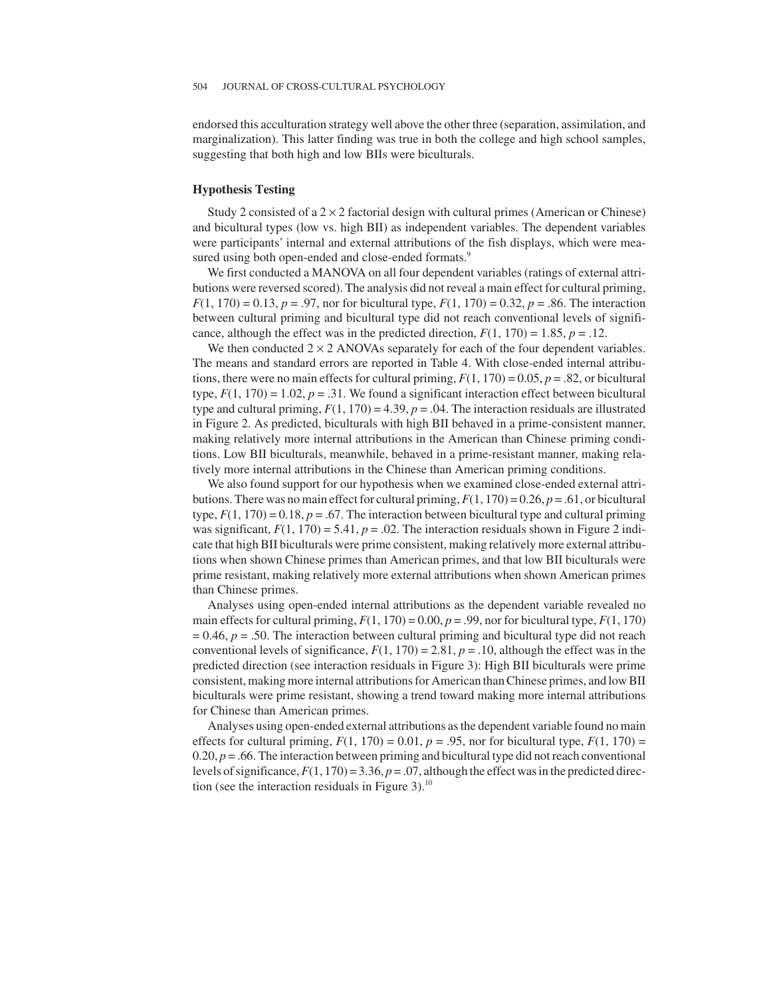endorsed this acculturation strategy well above the other three (separation, assimilation, and marginalization). This latter finding was true in both the college and high school samples, suggesting that both high and low BIIs were biculturals.

#### **Hypothesis Testing**

Study 2 consisted of a  $2 \times 2$  factorial design with cultural primes (American or Chinese) and bicultural types (low vs. high BII) as independent variables. The dependent variables were participants'internal and external attributions of the fish displays, which were measured using both open-ended and close-ended formats.<sup>9</sup>

We first conducted a MANOVA on all four dependent variables (ratings of external attributions were reversed scored). The analysis did not reveal a main effect for cultural priming,  $F(1, 170) = 0.13$ ,  $p = .97$ , nor for bicultural type,  $F(1, 170) = 0.32$ ,  $p = .86$ . The interaction between cultural priming and bicultural type did not reach conventional levels of significance, although the effect was in the predicted direction,  $F(1, 170) = 1.85$ ,  $p = .12$ .

We then conducted  $2 \times 2$  ANOVAs separately for each of the four dependent variables. The means and standard errors are reported in Table 4. With close-ended internal attributions, there were no main effects for cultural priming,  $F(1, 170) = 0.05$ ,  $p = .82$ , or bicultural type,  $F(1, 170) = 1.02$ ,  $p = .31$ . We found a significant interaction effect between bicultural type and cultural priming,  $F(1, 170) = 4.39$ ,  $p = .04$ . The interaction residuals are illustrated in Figure 2. As predicted, biculturals with high BII behaved in a prime-consistent manner, making relatively more internal attributions in the American than Chinese priming conditions. Low BII biculturals, meanwhile, behaved in a prime-resistant manner, making relatively more internal attributions in the Chinese than American priming conditions.

We also found support for our hypothesis when we examined close-ended external attributions. There was no main effect for cultural priming,  $F(1, 170) = 0.26$ ,  $p = .61$ , or bicultural type,  $F(1, 170) = 0.18$ ,  $p = .67$ . The interaction between bicultural type and cultural priming was significant,  $F(1, 170) = 5.41$ ,  $p = .02$ . The interaction residuals shown in Figure 2 indicate that high BII biculturals were prime consistent, making relatively more external attributions when shown Chinese primes than American primes, and that low BII biculturals were prime resistant, making relatively more external attributions when shown American primes than Chinese primes.

Analyses using open-ended internal attributions as the dependent variable revealed no main effects for cultural priming,  $F(1, 170) = 0.00$ ,  $p = .99$ , nor for bicultural type,  $F(1, 170)$  $= 0.46$ ,  $p = .50$ . The interaction between cultural priming and bicultural type did not reach conventional levels of significance,  $F(1, 170) = 2.81$ ,  $p = .10$ , although the effect was in the predicted direction (see interaction residuals in Figure 3): High BII biculturals were prime consistent, making more internal attributions for American than Chinese primes, and low BII biculturals were prime resistant, showing a trend toward making more internal attributions for Chinese than American primes.

Analyses using open-ended external attributions as the dependent variable found no main effects for cultural priming,  $F(1, 170) = 0.01$ ,  $p = .95$ , nor for bicultural type,  $F(1, 170) =$  $0.20, p = 0.66$ . The interaction between priming and bicultural type did not reach conventional levels of significance,  $F(1, 170) = 3.36$ ,  $p = .07$ , although the effect was in the predicted direction (see the interaction residuals in Figure 3). $^{10}$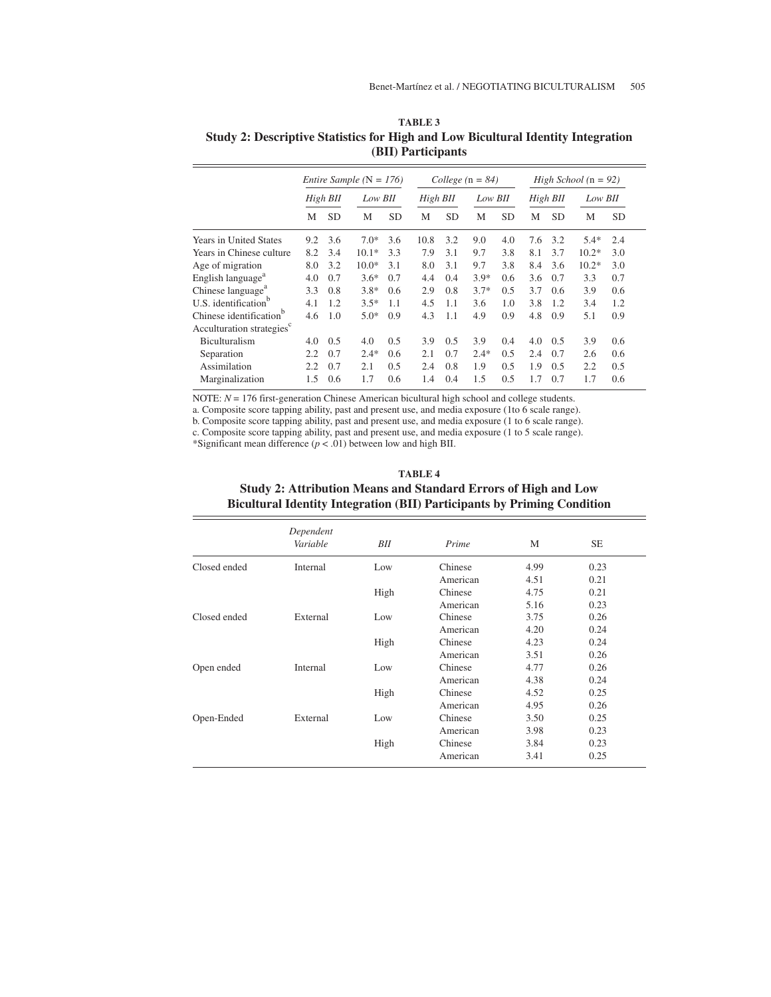|                                       | <i>Entire Sample</i> ( $N = 176$ ) |           |         | College $(n = 84)$ |          |     | High School $(n = 92)$ |           |          |           |         |           |
|---------------------------------------|------------------------------------|-----------|---------|--------------------|----------|-----|------------------------|-----------|----------|-----------|---------|-----------|
|                                       | High BII                           |           | Low BII |                    | High BII |     | Low BII                |           | High BII |           | Low BII |           |
|                                       | M                                  | <b>SD</b> | M       | <b>SD</b>          | M        | SD  | M                      | <b>SD</b> | M        | <b>SD</b> | M       | <b>SD</b> |
| <b>Years in United States</b>         | 9.2                                | 3.6       | $7.0*$  | 3.6                | 10.8     | 3.2 | 9.0                    | 4.0       | 7.6      | 3.2       | $5.4*$  | 2.4       |
| Years in Chinese culture              | 8.2                                | 3.4       | $10.1*$ | 3.3                | 7.9      | 3.1 | 9.7                    | 3.8       | 8.1      | 3.7       | $10.2*$ | 3.0       |
| Age of migration                      | 8.0                                | 3.2       | $10.0*$ | 3.1                | 8.0      | 3.1 | 9.7                    | 3.8       | 8.4      | 3.6       | $10.2*$ | 3.0       |
| English language <sup>a</sup>         | 4.0                                | 0.7       | $3.6*$  | 0.7                | 4.4      | 0.4 | $3.9*$                 | 0.6       | 3.6      | 0.7       | 3.3     | 0.7       |
| Chinese language <sup>a</sup>         | 3.3                                | 0.8       | $3.8*$  | 0.6                | 2.9      | 0.8 | $3.7*$                 | 0.5       | 3.7      | 0.6       | 3.9     | 0.6       |
| U.S. identification <sup>b</sup>      | 4.1                                | 1.2       | $3.5*$  | 1.1                | 4.5      | 1.1 | 3.6                    | 1.0       | 3.8      | 1.2       | 3.4     | 1.2       |
| Chinese identification <sup>b</sup>   | 4.6                                | 1.0       | $5.0*$  | 0.9                | 4.3      | 1.1 | 4.9                    | 0.9       | 4.8      | 0.9       | 5.1     | 0.9       |
| Acculturation strategies <sup>c</sup> |                                    |           |         |                    |          |     |                        |           |          |           |         |           |
| <b>Biculturalism</b>                  | 4.0                                | 0.5       | 4.0     | 0.5                | 3.9      | 0.5 | 3.9                    | 0.4       | 4.0      | 0.5       | 3.9     | 0.6       |
| Separation                            | 2.2                                | 0.7       | $2.4*$  | 0.6                | 2.1      | 0.7 | $2.4*$                 | 0.5       | 2.4      | 0.7       | 2.6     | 0.6       |
| Assimilation                          | 2.2                                | 0.7       | 2.1     | 0.5                | 2.4      | 0.8 | 1.9                    | 0.5       | 1.9      | 0.5       | 2.2     | 0.5       |
| Marginalization                       | 1.5                                | 0.6       | 1.7     | 0.6                | 1.4      | 0.4 | 1.5                    | 0.5       | 1.7      | 0.7       | 1.7     | 0.6       |

**TABLE3 Study 2: Descriptive Statistics for High and Low Bicultural Identity Integration (BII) Participants**

NOTE:  $N = 176$  first-generation Chinese American bicultural high school and college students.

a. Composite score tapping ability, past and present use, and media exposure (1to 6 scale range).

b. Composite score tapping ability, past and present use, and media exposure (1 to 6 scale range).

c. Composite score tapping ability, past and present use, and media exposure (1 to 5 scale range).

\*Significant mean difference  $(p < .01)$  between low and high BII.

| TABLE 4                                                                        |
|--------------------------------------------------------------------------------|
| <b>Study 2: Attribution Means and Standard Errors of High and Low</b>          |
| <b>Bicultural Identity Integration (BII) Participants by Priming Condition</b> |

|              | Dependent<br>Variable | BII  | Prime    | M    | <b>SE</b> |
|--------------|-----------------------|------|----------|------|-----------|
| Closed ended | Internal              | Low  | Chinese  | 4.99 | 0.23      |
|              |                       |      | American | 4.51 | 0.21      |
|              |                       | High | Chinese  | 4.75 | 0.21      |
|              |                       |      | American | 5.16 | 0.23      |
| Closed ended | External              | Low  | Chinese  | 3.75 | 0.26      |
|              |                       |      | American | 4.20 | 0.24      |
|              |                       | High | Chinese  | 4.23 | 0.24      |
|              |                       |      | American | 3.51 | 0.26      |
| Open ended   | Internal              | Low  | Chinese  | 4.77 | 0.26      |
|              |                       |      | American | 4.38 | 0.24      |
|              |                       | High | Chinese  | 4.52 | 0.25      |
|              |                       |      | American | 4.95 | 0.26      |
| Open-Ended   | External              | Low  | Chinese  | 3.50 | 0.25      |
|              |                       |      | American | 3.98 | 0.23      |
|              |                       | High | Chinese  | 3.84 | 0.23      |
|              |                       |      | American | 3.41 | 0.25      |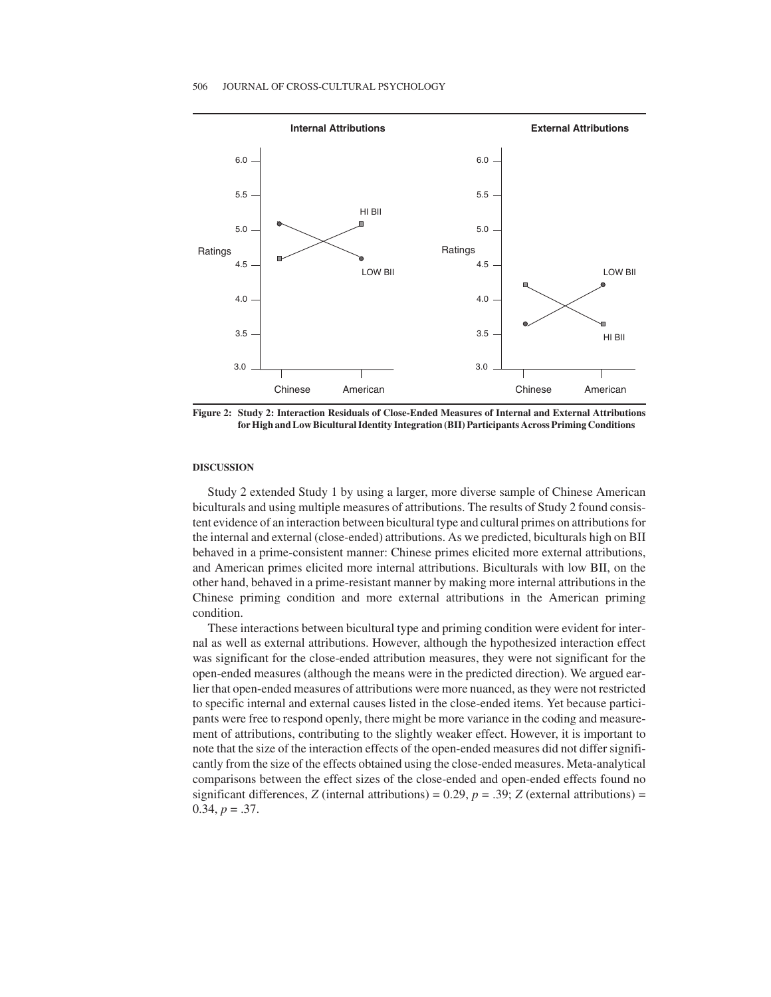

**Figure 2: Study 2: Interaction Residuals of Close-Ended Measures of Internal and External Attributions for High and Low Bicultural Identity Integration (BII) Participants Across Priming Conditions**

#### **DISCUSSION**

Study 2 extended Study 1 by using a larger, more diverse sample of Chinese American biculturals and using multiple measures of attributions. The results of Study 2 found consistent evidence of an interaction between bicultural type and cultural primes on attributions for the internal and external (close-ended) attributions. As we predicted, biculturals high on BII behaved in a prime-consistent manner: Chinese primes elicited more external attributions, and American primes elicited more internal attributions. Biculturals with low BII, on the other hand, behaved in a prime-resistant manner by making more internal attributions in the Chinese priming condition and more external attributions in the American priming condition.

These interactions between bicultural type and priming condition were evident for internal as well as external attributions. However, although the hypothesized interaction effect was significant for the close-ended attribution measures, they were not significant for the open-ended measures (although the means were in the predicted direction). We argued earlier that open-ended measures of attributions were more nuanced, as they were not restricted to specific internal and external causes listed in the close-ended items. Yet because participants were free to respond openly, there might be more variance in the coding and measurement of attributions, contributing to the slightly weaker effect. However, it is important to note that the size of the interaction effects of the open-ended measures did not differ significantly from the size of the effects obtained using the close-ended measures. Meta-analytical comparisons between the effect sizes of the close-ended and open-ended effects found no significant differences, *Z* (internal attributions) = 0.29,  $p = .39$ ; *Z* (external attributions) = 0.34,  $p = .37$ .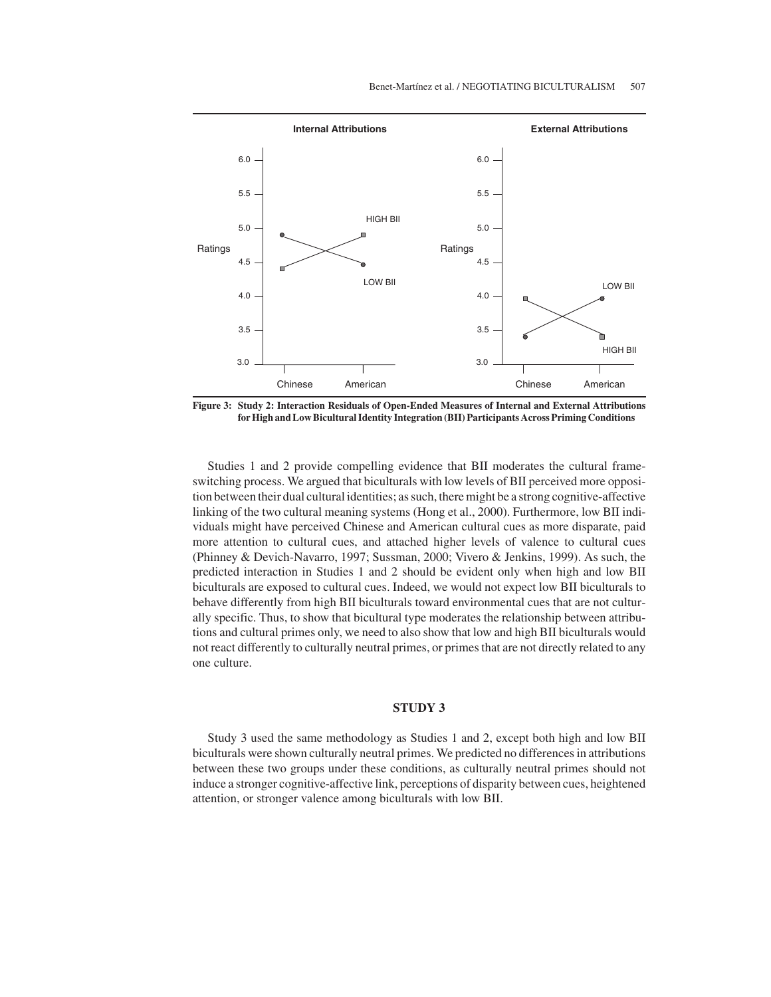

**Figure 3: Study 2: Interaction Residuals of Open-Ended Measures of Internal and External Attributions for High and Low Bicultural Identity Integration (BII) Participants Across Priming Conditions**

Studies 1 and 2 provide compelling evidence that BII moderates the cultural frameswitching process. We argued that biculturals with low levels of BII perceived more opposition between their dual cultural identities; as such, there might be a strong cognitive-affective linking of the two cultural meaning systems (Hong et al., 2000). Furthermore, low BII individuals might have perceived Chinese and American cultural cues as more disparate, paid more attention to cultural cues, and attached higher levels of valence to cultural cues (Phinney & Devich-Navarro, 1997; Sussman, 2000; Vivero & Jenkins, 1999). As such, the predicted interaction in Studies 1 and 2 should be evident only when high and low BII biculturals are exposed to cultural cues. Indeed, we would not expect low BII biculturals to behave differently from high BII biculturals toward environmental cues that are not culturally specific. Thus, to show that bicultural type moderates the relationship between attributions and cultural primes only, we need to also show that low and high BII biculturals would not react differently to culturally neutral primes, or primes that are not directly related to any one culture.

### **STUDY 3**

Study 3 used the same methodology as Studies 1 and 2, except both high and low BII biculturals were shown culturally neutral primes. We predicted no differences in attributions between these two groups under these conditions, as culturally neutral primes should not induce a stronger cognitive-affective link, perceptions of disparity between cues, heightened attention, or stronger valence among biculturals with low BII.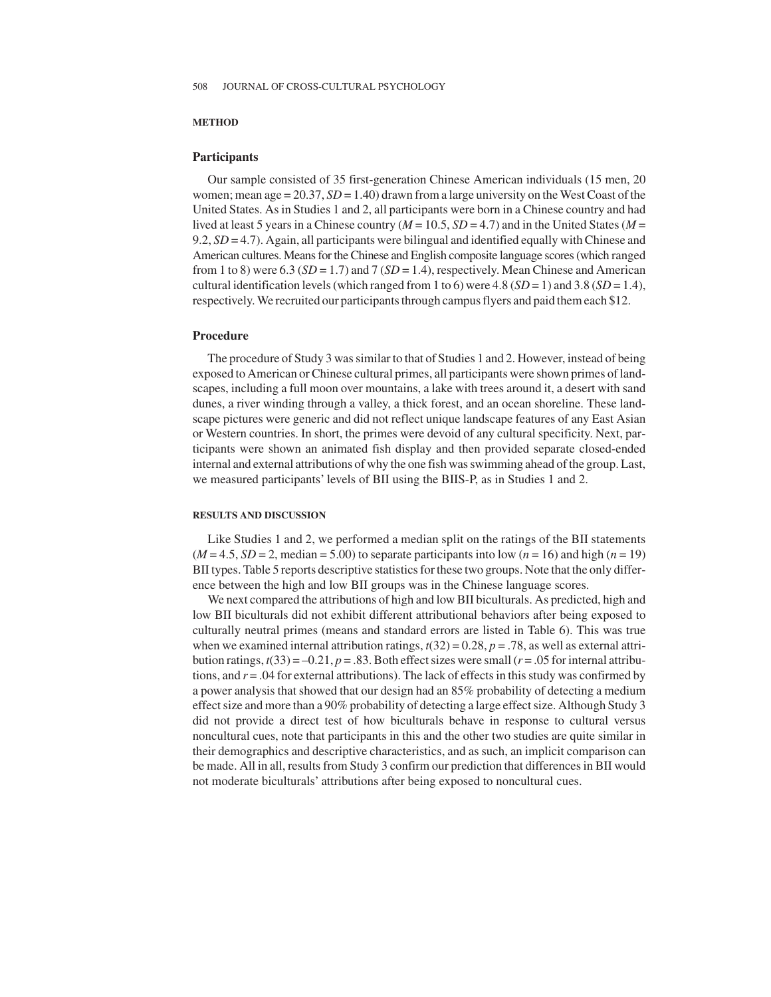#### **METHOD**

### **Participants**

Our sample consisted of 35 first-generation Chinese American individuals (15 men, 20 women; mean age  $= 20.37$ ,  $SD = 1.40$ ) drawn from a large university on the West Coast of the United States. As in Studies 1 and 2, all participants were born in a Chinese country and had lived at least 5 years in a Chinese country (*M* = 10.5, *SD* = 4.7) and in the United States (*M* = 9.2, *SD* = 4.7). Again, all participants were bilingual and identified equally with Chinese and American cultures. Means for the Chinese and English composite language scores (which ranged from 1 to 8) were 6.3 (*SD* = 1.7) and 7 (*SD* = 1.4), respectively. Mean Chinese and American cultural identification levels (which ranged from 1 to 6) were 4.8  $(SD = 1)$  and 3.8  $(SD = 1.4)$ , respectively. We recruited our participants through campus flyers and paid them each \$12.

#### **Procedure**

The procedure of Study 3 was similar to that of Studies 1 and 2. However, instead of being exposed to American or Chinese cultural primes, all participants were shown primes of landscapes, including a full moon over mountains, a lake with trees around it, a desert with sand dunes, a river winding through a valley, a thick forest, and an ocean shoreline. These landscape pictures were generic and did not reflect unique landscape features of any East Asian or Western countries. In short, the primes were devoid of any cultural specificity. Next, participants were shown an animated fish display and then provided separate closed-ended internal and external attributions of why the one fish was swimming ahead of the group. Last, we measured participants'levels of BII using the BIIS-P, as in Studies 1 and 2.

#### **RESULTS AND DISCUSSION**

Like Studies 1 and 2, we performed a median split on the ratings of the BII statements  $(M = 4.5, SD = 2, median = 5.00)$  to separate participants into low  $(n = 16)$  and high  $(n = 19)$ BII types. Table 5 reports descriptive statistics for these two groups. Note that the only difference between the high and low BII groups was in the Chinese language scores.

We next compared the attributions of high and low BII biculturals. As predicted, high and low BII biculturals did not exhibit different attributional behaviors after being exposed to culturally neutral primes (means and standard errors are listed in Table 6). This was true when we examined internal attribution ratings,  $t(32) = 0.28$ ,  $p = .78$ , as well as external attribution ratings,  $t(33) = -0.21$ ,  $p = 0.83$ . Both effect sizes were small ( $r = 0.05$  for internal attributions, and *r* = .04 for external attributions). The lack of effects in this study was confirmed by a power analysis that showed that our design had an 85% probability of detecting a medium effect size and more than a 90% probability of detecting a large effect size. Although Study 3 did not provide a direct test of how biculturals behave in response to cultural versus noncultural cues, note that participants in this and the other two studies are quite similar in their demographics and descriptive characteristics, and as such, an implicit comparison can be made. All in all, results from Study 3 confirm our prediction that differences in BII would not moderate biculturals'attributions after being exposed to noncultural cues.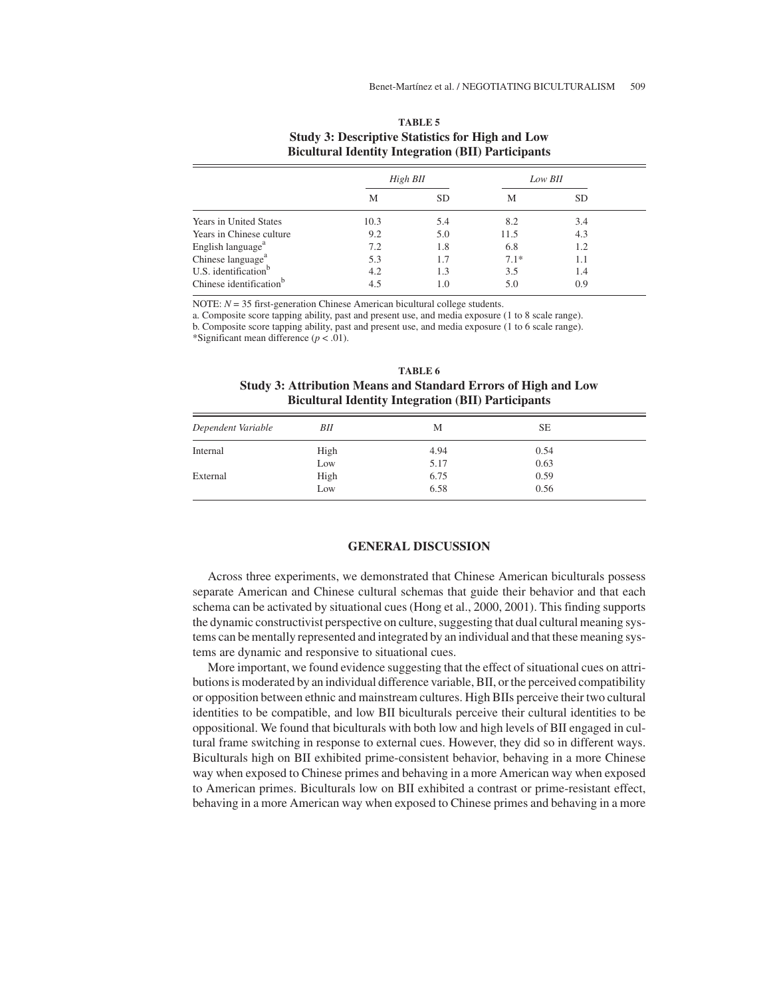# **TABLE5 Study 3: Descriptive Statistics for High and Low Bicultural Identity Integration (BII) Participants**

|                                     | High BII |     | Low BII |           |  |
|-------------------------------------|----------|-----|---------|-----------|--|
|                                     | М        | SD  | М       | <b>SD</b> |  |
| <b>Years in United States</b>       | 10.3     | 5.4 | 8.2     | 3.4       |  |
| Years in Chinese culture            | 9.2      | 5.0 | 11.5    | 4.3       |  |
| English language <sup>a</sup>       | 7.2      | 1.8 | 6.8     | 1.2       |  |
| Chinese language <sup>a</sup>       | 5.3      | 1.7 | $7.1*$  | 1.1       |  |
| U.S. identification <sup>b</sup>    | 4.2      | 1.3 | 3.5     | 1.4       |  |
| Chinese identification <sup>b</sup> | 4.5      | 1.0 | 5.0     | 0.9       |  |

NOTE:  $N = 35$  first-generation Chinese American bicultural college students.

a. Composite score tapping ability, past and present use, and media exposure (1 to 8 scale range).

b. Composite score tapping ability, past and present use, and media exposure (1 to 6 scale range).

\*Significant mean difference (*p* < .01).

**TABLE6 Study 3: Attribution Means and Standard Errors of High and Low Bicultural Identity Integration (BII) Participants**

|                    |      | . .  | . .       |  |
|--------------------|------|------|-----------|--|
| Dependent Variable | BII  | М    | <b>SE</b> |  |
| Internal           | High | 4.94 | 0.54      |  |
|                    | Low  | 5.17 | 0.63      |  |
| External           | High | 6.75 | 0.59      |  |
|                    | Low  | 6.58 | 0.56      |  |

# **GENERAL DISCUSSION**

Across three experiments, we demonstrated that Chinese American biculturals possess separate American and Chinese cultural schemas that guide their behavior and that each schema can be activated by situational cues (Hong et al., 2000, 2001). This finding supports the dynamic constructivist perspective on culture, suggesting that dual cultural meaning systems can be mentally represented and integrated by an individual and that these meaning systems are dynamic and responsive to situational cues.

More important, we found evidence suggesting that the effect of situational cues on attributions is moderated by an individual difference variable, BII, or the perceived compatibility or opposition between ethnic and mainstream cultures. High BIIs perceive their two cultural identities to be compatible, and low BII biculturals perceive their cultural identities to be oppositional. We found that biculturals with both low and high levels of BII engaged in cultural frame switching in response to external cues. However, they did so in different ways. Biculturals high on BII exhibited prime-consistent behavior, behaving in a more Chinese way when exposed to Chinese primes and behaving in a more American way when exposed to American primes. Biculturals low on BII exhibited a contrast or prime-resistant effect, behaving in a more American way when exposed to Chinese primes and behaving in a more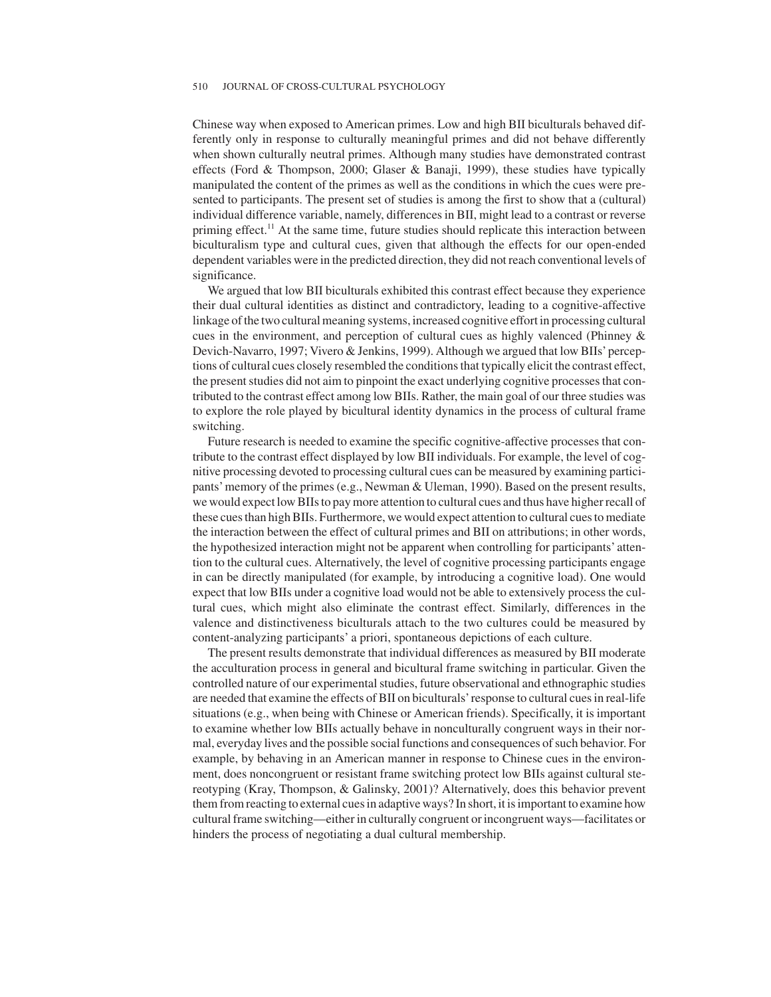Chinese way when exposed to American primes. Low and high BII biculturals behaved differently only in response to culturally meaningful primes and did not behave differently when shown culturally neutral primes. Although many studies have demonstrated contrast effects (Ford & Thompson, 2000; Glaser & Banaji, 1999), these studies have typically manipulated the content of the primes as well as the conditions in which the cues were presented to participants. The present set of studies is among the first to show that a (cultural) individual difference variable, namely, differences in BII, might lead to a contrast or reverse priming effect.<sup>11</sup> At the same time, future studies should replicate this interaction between biculturalism type and cultural cues, given that although the effects for our open-ended dependent variables were in the predicted direction, they did not reach conventional levels of significance.

We argued that low BII biculturals exhibited this contrast effect because they experience their dual cultural identities as distinct and contradictory, leading to a cognitive-affective linkage of the two cultural meaning systems, increased cognitive effort in processing cultural cues in the environment, and perception of cultural cues as highly valenced (Phinney & Devich-Navarro, 1997; Vivero & Jenkins, 1999). Although we argued that low BIIs'perceptions of cultural cues closely resembled the conditions that typically elicit the contrast effect, the present studies did not aim to pinpoint the exact underlying cognitive processes that contributed to the contrast effect among low BIIs. Rather, the main goal of our three studies was to explore the role played by bicultural identity dynamics in the process of cultural frame switching.

Future research is needed to examine the specific cognitive-affective processes that contribute to the contrast effect displayed by low BII individuals. For example, the level of cognitive processing devoted to processing cultural cues can be measured by examining participants'memory of the primes (e.g., Newman & Uleman, 1990). Based on the present results, we would expect low BIIs to pay more attention to cultural cues and thus have higher recall of these cues than high BIIs. Furthermore, we would expect attention to cultural cues to mediate the interaction between the effect of cultural primes and BII on attributions; in other words, the hypothesized interaction might not be apparent when controlling for participants'attention to the cultural cues. Alternatively, the level of cognitive processing participants engage in can be directly manipulated (for example, by introducing a cognitive load). One would expect that low BIIs under a cognitive load would not be able to extensively process the cultural cues, which might also eliminate the contrast effect. Similarly, differences in the valence and distinctiveness biculturals attach to the two cultures could be measured by content-analyzing participants'a priori, spontaneous depictions of each culture.

The present results demonstrate that individual differences as measured by BII moderate the acculturation process in general and bicultural frame switching in particular. Given the controlled nature of our experimental studies, future observational and ethnographic studies are needed that examine the effects of BII on biculturals'response to cultural cues in real-life situations (e.g., when being with Chinese or American friends). Specifically, it is important to examine whether low BIIs actually behave in nonculturally congruent ways in their normal, everyday lives and the possible social functions and consequences of such behavior. For example, by behaving in an American manner in response to Chinese cues in the environment, does noncongruent or resistant frame switching protect low BIIs against cultural stereotyping (Kray, Thompson, & Galinsky, 2001)? Alternatively, does this behavior prevent them from reacting to external cues in adaptive ways? In short, it is important to examine how cultural frame switching—either in culturally congruent or incongruent ways—facilitates or hinders the process of negotiating a dual cultural membership.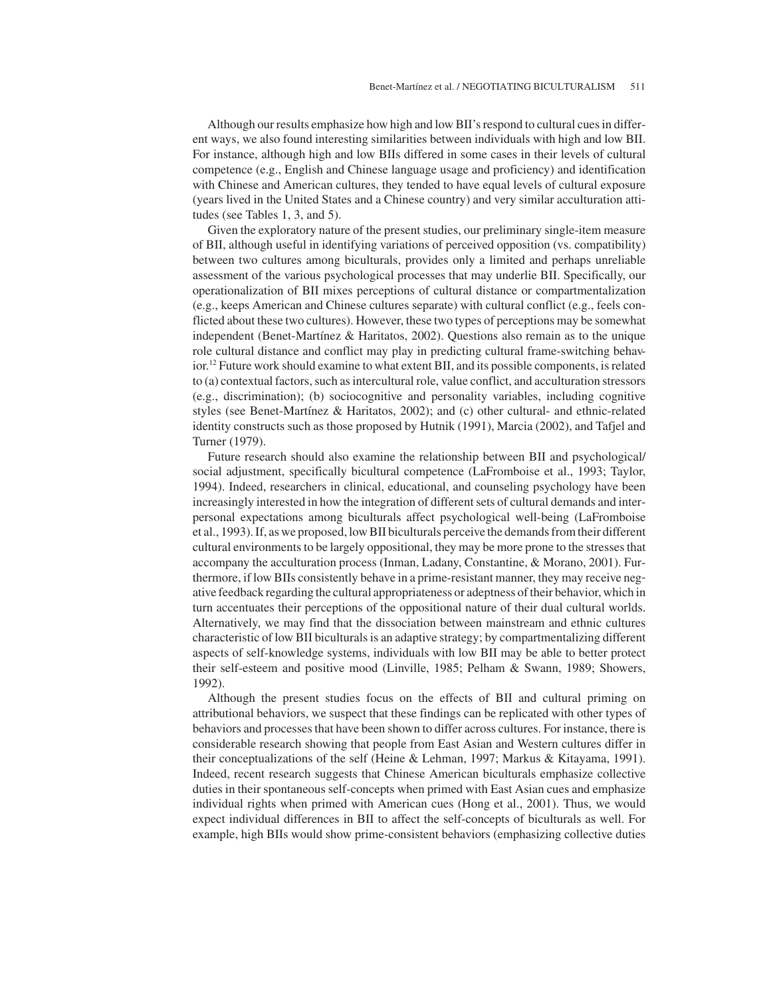Although our results emphasize how high and low BII's respond to cultural cues in different ways, we also found interesting similarities between individuals with high and low BII. For instance, although high and low BIIs differed in some cases in their levels of cultural competence (e.g., English and Chinese language usage and proficiency) and identification with Chinese and American cultures, they tended to have equal levels of cultural exposure (years lived in the United States and a Chinese country) and very similar acculturation attitudes (see Tables 1, 3, and 5).

Given the exploratory nature of the present studies, our preliminary single-item measure of BII, although useful in identifying variations of perceived opposition (vs. compatibility) between two cultures among biculturals, provides only a limited and perhaps unreliable assessment of the various psychological processes that may underlie BII. Specifically, our operationalization of BII mixes perceptions of cultural distance or compartmentalization (e.g., keeps American and Chinese cultures separate) with cultural conflict (e.g., feels conflicted about these two cultures). However, these two types of perceptions may be somewhat independent (Benet-Martínez & Haritatos, 2002). Questions also remain as to the unique role cultural distance and conflict may play in predicting cultural frame-switching behav- $\mathrm{in}^{12}$  Future work should examine to what extent BII, and its possible components, is related to (a) contextual factors, such as intercultural role, value conflict, and acculturation stressors (e.g., discrimination); (b) sociocognitive and personality variables, including cognitive styles (see Benet-Martínez & Haritatos, 2002); and (c) other cultural- and ethnic-related identity constructs such as those proposed by Hutnik (1991), Marcia (2002), and Tafjel and Turner (1979).

Future research should also examine the relationship between BII and psychological/ social adjustment, specifically bicultural competence (LaFromboise et al., 1993; Taylor, 1994). Indeed, researchers in clinical, educational, and counseling psychology have been increasingly interested in how the integration of different sets of cultural demands and interpersonal expectations among biculturals affect psychological well-being (LaFromboise et al., 1993). If, as we proposed, low BII biculturals perceive the demands from their different cultural environments to be largely oppositional, they may be more prone to the stresses that accompany the acculturation process (Inman, Ladany, Constantine, & Morano, 2001). Furthermore, if low BIIs consistently behave in a prime-resistant manner, they may receive negative feedback regarding the cultural appropriateness or adeptness of their behavior, which in turn accentuates their perceptions of the oppositional nature of their dual cultural worlds. Alternatively, we may find that the dissociation between mainstream and ethnic cultures characteristic of low BII biculturals is an adaptive strategy; by compartmentalizing different aspects of self-knowledge systems, individuals with low BII may be able to better protect their self-esteem and positive mood (Linville, 1985; Pelham & Swann, 1989; Showers, 1992).

Although the present studies focus on the effects of BII and cultural priming on attributional behaviors, we suspect that these findings can be replicated with other types of behaviors and processes that have been shown to differ across cultures. For instance, there is considerable research showing that people from East Asian and Western cultures differ in their conceptualizations of the self (Heine & Lehman, 1997; Markus & Kitayama, 1991). Indeed, recent research suggests that Chinese American biculturals emphasize collective duties in their spontaneous self-concepts when primed with East Asian cues and emphasize individual rights when primed with American cues (Hong et al., 2001). Thus, we would expect individual differences in BII to affect the self-concepts of biculturals as well. For example, high BIIs would show prime-consistent behaviors (emphasizing collective duties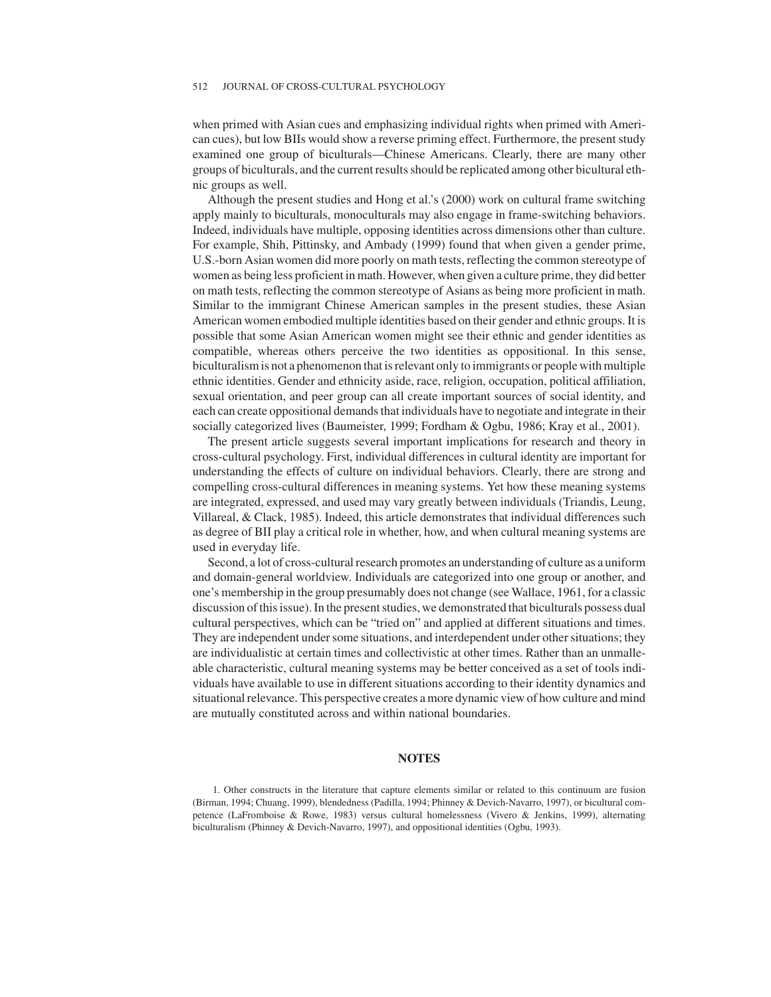when primed with Asian cues and emphasizing individual rights when primed with American cues), but low BIIs would show a reverse priming effect. Furthermore, the present study examined one group of biculturals—Chinese Americans. Clearly, there are many other groups of biculturals, and the current results should be replicated among other bicultural ethnic groups as well.

Although the present studies and Hong et al.'s (2000) work on cultural frame switching apply mainly to biculturals, monoculturals may also engage in frame-switching behaviors. Indeed, individuals have multiple, opposing identities across dimensions other than culture. For example, Shih, Pittinsky, and Ambady (1999) found that when given a gender prime, U.S.-born Asian women did more poorly on math tests, reflecting the common stereotype of women as being less proficient in math. However, when given a culture prime, they did better on math tests, reflecting the common stereotype of Asians as being more proficient in math. Similar to the immigrant Chinese American samples in the present studies, these Asian American women embodied multiple identities based on their gender and ethnic groups. It is possible that some Asian American women might see their ethnic and gender identities as compatible, whereas others perceive the two identities as oppositional. In this sense, biculturalism is not a phenomenon that is relevant only to immigrants or people with multiple ethnic identities. Gender and ethnicity aside, race, religion, occupation, political affiliation, sexual orientation, and peer group can all create important sources of social identity, and each can create oppositional demands that individuals have to negotiate and integrate in their socially categorized lives (Baumeister, 1999; Fordham & Ogbu, 1986; Kray et al., 2001).

The present article suggests several important implications for research and theory in cross-cultural psychology. First, individual differences in cultural identity are important for understanding the effects of culture on individual behaviors. Clearly, there are strong and compelling cross-cultural differences in meaning systems. Yet how these meaning systems are integrated, expressed, and used may vary greatly between individuals (Triandis, Leung, Villareal, & Clack, 1985). Indeed, this article demonstrates that individual differences such as degree of BII play a critical role in whether, how, and when cultural meaning systems are used in everyday life.

Second, a lot of cross-cultural research promotes an understanding of culture as a uniform and domain-general worldview. Individuals are categorized into one group or another, and one's membership in the group presumably does not change (see Wallace, 1961, for a classic discussion of this issue). In the present studies, we demonstrated that biculturals possess dual cultural perspectives, which can be "tried on" and applied at different situations and times. They are independent under some situations, and interdependent under other situations; they are individualistic at certain times and collectivistic at other times. Rather than an unmalleable characteristic, cultural meaning systems may be better conceived as a set of tools individuals have available to use in different situations according to their identity dynamics and situational relevance. This perspective creates a more dynamic view of how culture and mind are mutually constituted across and within national boundaries.

#### **NOTES**

1. Other constructs in the literature that capture elements similar or related to this continuum are fusion (Birman, 1994; Chuang, 1999), blendedness (Padilla, 1994; Phinney & Devich-Navarro, 1997), or bicultural competence (LaFromboise & Rowe, 1983) versus cultural homelessness (Vivero & Jenkins, 1999), alternating biculturalism (Phinney & Devich-Navarro, 1997), and oppositional identities (Ogbu, 1993).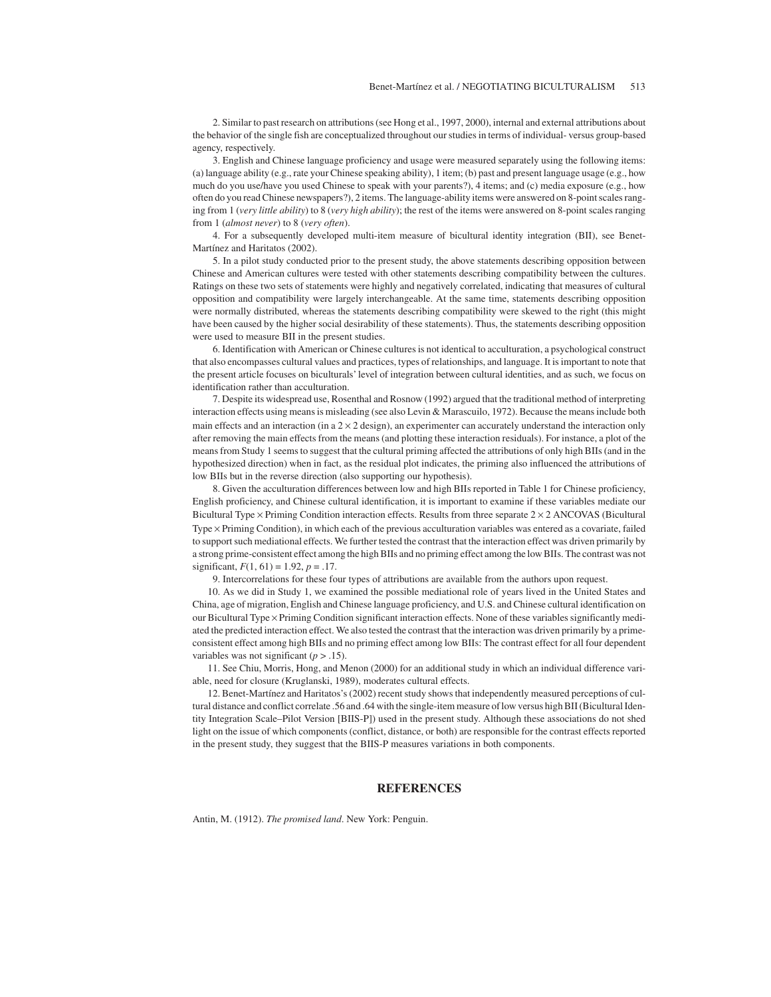2. Similar to past research on attributions (see Hong et al., 1997, 2000), internal and external attributions about the behavior of the single fish are conceptualized throughout our studies in terms of individual- versus group-based agency, respectively.

3. English and Chinese language proficiency and usage were measured separately using the following items: (a) language ability (e.g., rate your Chinese speaking ability), 1 item; (b) past and present language usage (e.g., how much do you use/have you used Chinese to speak with your parents?), 4 items; and (c) media exposure (e.g., how often do you read Chinese newspapers?), 2 items. The language-ability items were answered on 8-point scales ranging from 1 (*very little ability*) to 8 (*very high ability*); the rest of the items were answered on 8-point scales ranging from 1 (*almost never*) to 8 (*very often*).

4. For a subsequently developed multi-item measure of bicultural identity integration (BII), see Benet-Martínez and Haritatos (2002).

5. In a pilot study conducted prior to the present study, the above statements describing opposition between Chinese and American cultures were tested with other statements describing compatibility between the cultures. Ratings on these two sets of statements were highly and negatively correlated, indicating that measures of cultural opposition and compatibility were largely interchangeable. At the same time, statements describing opposition were normally distributed, whereas the statements describing compatibility were skewed to the right (this might have been caused by the higher social desirability of these statements). Thus, the statements describing opposition were used to measure BII in the present studies.

6. Identification with American or Chinese cultures is not identical to acculturation, a psychological construct that also encompasses cultural values and practices, types of relationships, and language. It is important to note that the present article focuses on biculturals'level of integration between cultural identities, and as such, we focus on identification rather than acculturation.

7. Despite its widespread use, Rosenthal and Rosnow (1992) argued that the traditional method of interpreting interaction effects using means is misleading (see also Levin & Marascuilo, 1972). Because the means include both main effects and an interaction (in a  $2 \times 2$  design), an experimenter can accurately understand the interaction only after removing the main effects from the means (and plotting these interaction residuals). For instance, a plot of the means from Study 1 seems to suggest that the cultural priming affected the attributions of only high BIIs (and in the hypothesized direction) when in fact, as the residual plot indicates, the priming also influenced the attributions of low BIIs but in the reverse direction (also supporting our hypothesis).

8. Given the acculturation differences between low and high BIIs reported in Table 1 for Chinese proficiency, English proficiency, and Chinese cultural identification, it is important to examine if these variables mediate our Bicultural Type  $\times$  Priming Condition interaction effects. Results from three separate  $2 \times 2$  ANCOVAS (Bicultural Type × Priming Condition), in which each of the previous acculturation variables was entered as a covariate, failed to support such mediational effects. We further tested the contrast that the interaction effect was driven primarily by a strong prime-consistent effect among the high BIIs and no priming effect among the low BIIs. The contrast was not significant,  $F(1, 61) = 1.92$ ,  $p = .17$ .

9. Intercorrelations for these four types of attributions are available from the authors upon request.

10. As we did in Study 1, we examined the possible mediational role of years lived in the United States and China, age of migration, English and Chinese language proficiency, and U.S. and Chinese cultural identification on our Bicultural Type × Priming Condition significant interaction effects. None of these variables significantly mediated the predicted interaction effect. We also tested the contrast that the interaction was driven primarily by a primeconsistent effect among high BIIs and no priming effect among low BIIs: The contrast effect for all four dependent variables was not significant (*p* > .15).

11. See Chiu, Morris, Hong, and Menon (2000) for an additional study in which an individual difference variable, need for closure (Kruglanski, 1989), moderates cultural effects.

12. Benet-Martínez and Haritatos's (2002) recent study shows that independently measured perceptions of cultural distance and conflict correlate .56 and .64 with the single-item measure of low versus high BII (Bicultural Identity Integration Scale–Pilot Version [BIIS-P]) used in the present study. Although these associations do not shed light on the issue of which components (conflict, distance, or both) are responsible for the contrast effects reported in the present study, they suggest that the BIIS-P measures variations in both components.

# **REFERENCES**

Antin, M. (1912). *The promised land*. New York: Penguin.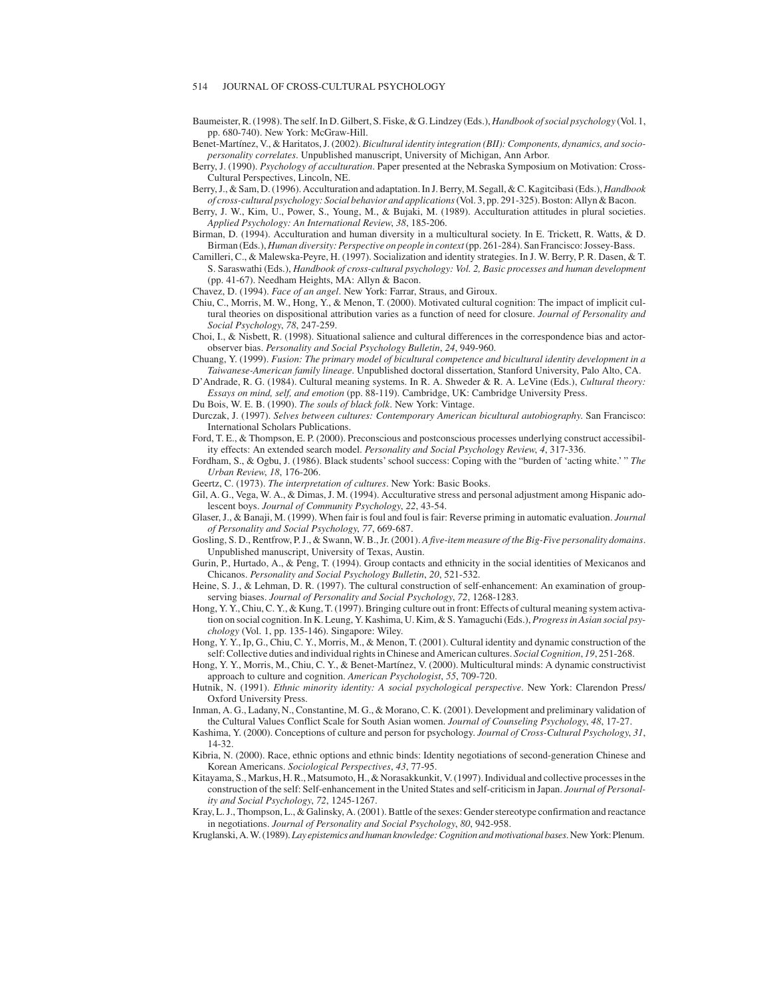- Baumeister, R. (1998). The self. In D. Gilbert, S. Fiske, & G. Lindzey (Eds.), *Handbook of social psychology* (Vol. 1, pp. 680-740). New York: McGraw-Hill.
- Benet-Martínez, V., & Haritatos, J. (2002). *Bicultural identity integration (BII): Components, dynamics, and sociopersonality correlates*. Unpublished manuscript, University of Michigan, Ann Arbor.
- Berry, J. (1990). *Psychology of acculturation*. Paper presented at the Nebraska Symposium on Motivation: Cross-Cultural Perspectives, Lincoln, NE.
- Berry, J., & Sam, D. (1996). Acculturation and adaptation. In J. Berry, M. Segall, & C. Kagitcibasi (Eds.), *Handbook of cross-cultural psychology: Social behavior and applications*(Vol. 3, pp. 291-325). Boston: Allyn & Bacon.
- Berry, J. W., Kim, U., Power, S., Young, M., & Bujaki, M. (1989). Acculturation attitudes in plural societies. *Applied Psychology: An International Review*, *38*, 185-206.
- Birman, D. (1994). Acculturation and human diversity in a multicultural society. In E. Trickett, R. Watts, & D. Birman (Eds.), *Human diversity: Perspective on people in context*(pp. 261-284). San Francisco: Jossey-Bass.
- Camilleri, C., & Malewska-Peyre, H. (1997). Socialization and identity strategies. In J. W. Berry, P. R. Dasen, & T. S. Saraswathi (Eds.), *Handbook of cross-cultural psychology: Vol. 2, Basic processes and human development* (pp. 41-67). Needham Heights, MA: Allyn & Bacon.
- Chavez, D. (1994). *Face of an angel*. New York: Farrar, Straus, and Giroux.
- Chiu, C., Morris, M. W., Hong, Y., & Menon, T. (2000). Motivated cultural cognition: The impact of implicit cultural theories on dispositional attribution varies as a function of need for closure. *Journal of Personality and Social Psychology*, *78*, 247-259.
- Choi, I., & Nisbett, R. (1998). Situational salience and cultural differences in the correspondence bias and actorobserver bias. *Personality and Social Psychology Bulletin*, *24*, 949-960.
- Chuang, Y. (1999). *Fusion: The primary model of bicultural competence and bicultural identity development in a Taiwanese-American family lineage*. Unpublished doctoral dissertation, Stanford University, Palo Alto, CA.
- D'Andrade, R. G. (1984). Cultural meaning systems. In R. A. Shweder & R. A. LeVine (Eds.), *Cultural theory: Essays on mind, self, and emotion* (pp. 88-119). Cambridge, UK: Cambridge University Press.
- Du Bois, W. E. B. (1990). *The souls of black folk*. New York: Vintage.
- Durczak, J. (1997). *Selves between cultures: Contemporary American bicultural autobiography*. San Francisco: International Scholars Publications.
- Ford, T. E., & Thompson, E. P. (2000). Preconscious and postconscious processes underlying construct accessibility effects: An extended search model. *Personality and Social Psychology Review*, *4*, 317-336.
- Fordham, S., & Ogbu, J. (1986). Black students'school success: Coping with the "burden of 'acting white.'" *The Urban Review*, *18*, 176-206.
- Geertz, C. (1973). *The interpretation of cultures*. New York: Basic Books.
- Gil, A. G., Vega, W. A., & Dimas, J. M. (1994). Acculturative stress and personal adjustment among Hispanic adolescent boys. *Journal of Community Psychology*, *22*, 43-54.
- Glaser, J., & Banaji, M. (1999). When fair is foul and foul is fair: Reverse priming in automatic evaluation. *Journal of Personality and Social Psychology*, *77*, 669-687.
- Gosling, S. D., Rentfrow, P. J., & Swann, W. B., Jr. (2001). *A five-item measure of the Big-Five personality domains*. Unpublished manuscript, University of Texas, Austin.
- Gurin, P., Hurtado, A., & Peng, T. (1994). Group contacts and ethnicity in the social identities of Mexicanos and Chicanos. *Personality and Social Psychology Bulletin*, *20*, 521-532.
- Heine, S. J., & Lehman, D. R. (1997). The cultural construction of self-enhancement: An examination of groupserving biases. *Journal of Personality and Social Psychology*, *72*, 1268-1283.
- Hong, Y. Y., Chiu, C. Y., & Kung, T. (1997). Bringing culture out in front: Effects of cultural meaning system activation on social cognition. In K. Leung, Y. Kashima, U. Kim, & S. Yamaguchi (Eds.), *Progress in Asian social psychology* (Vol. 1, pp. 135-146). Singapore: Wiley.
- Hong, Y. Y., Ip, G., Chiu, C. Y., Morris, M., & Menon, T. (2001). Cultural identity and dynamic construction of the self: Collective duties and individual rights in Chinese and American cultures. *Social Cognition*, *19*, 251-268.
- Hong, Y. Y., Morris, M., Chiu, C. Y., & Benet-Martínez, V. (2000). Multicultural minds: A dynamic constructivist approach to culture and cognition. *American Psychologist*, *55*, 709-720.
- Hutnik, N. (1991). *Ethnic minority identity: A social psychological perspective*. New York: Clarendon Press/ Oxford University Press.
- Inman, A. G., Ladany, N., Constantine, M. G., & Morano, C. K. (2001). Development and preliminary validation of the Cultural Values Conflict Scale for South Asian women. *Journal of Counseling Psychology*, *48*, 17-27.
- Kashima, Y. (2000). Conceptions of culture and person for psychology. *Journal of Cross-Cultural Psychology*, *31*, 14-32.
- Kibria, N. (2000). Race, ethnic options and ethnic binds: Identity negotiations of second-generation Chinese and Korean Americans. *Sociological Perspectives*, *43*, 77-95.
- Kitayama, S., Markus, H. R., Matsumoto, H., & Norasakkunkit, V. (1997). Individual and collective processes in the construction of the self: Self-enhancement in the United States and self-criticism in Japan. *Journal of Personality and Social Psychology*, *72*, 1245-1267.
- Kray, L. J., Thompson, L., & Galinsky, A. (2001). Battle of the sexes: Gender stereotype confirmation and reactance in negotiations. *Journal of Personality and Social Psychology*, *80*, 942-958.
- Kruglanski, A. W. (1989).*Lay epistemics and human knowledge:Cognition and motivational bases*. New York: Plenum.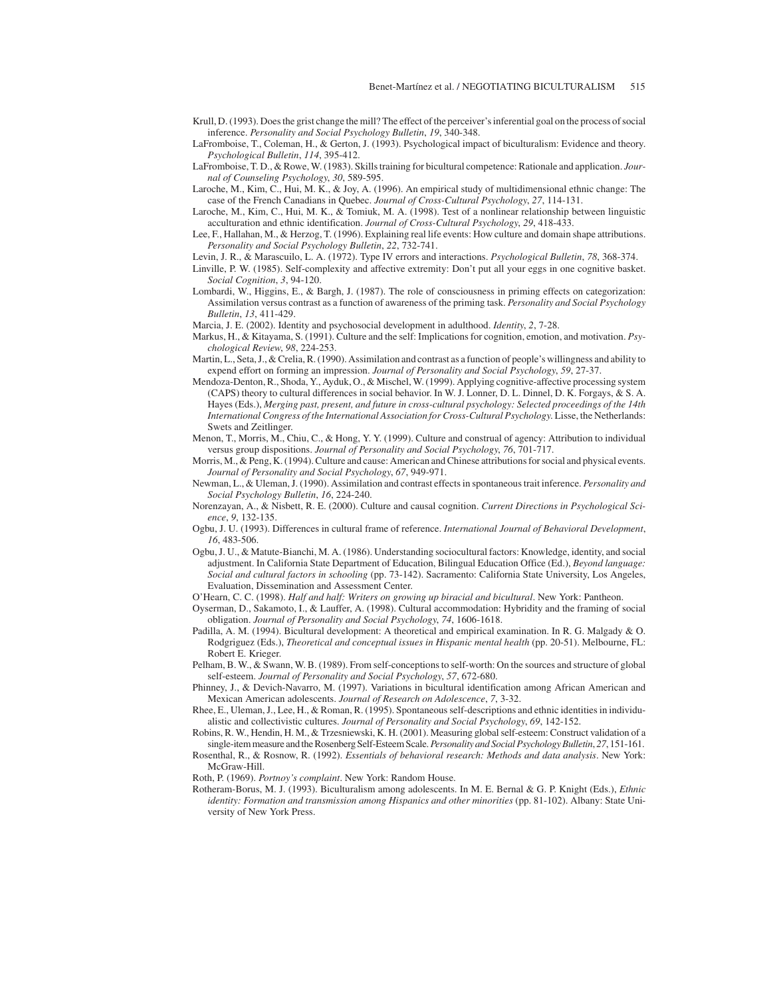- Krull, D. (1993). Does the grist change the mill? The effect of the perceiver's inferential goal on the process of social inference. *Personality and Social Psychology Bulletin*, *19*, 340-348.
- LaFromboise, T., Coleman, H., & Gerton, J. (1993). Psychological impact of biculturalism: Evidence and theory. *Psychological Bulletin*, *114*, 395-412.
- LaFromboise, T. D., & Rowe, W. (1983). Skills training for bicultural competence: Rationale and application. *Journal of Counseling Psychology*, *30*, 589-595.
- Laroche, M., Kim, C., Hui, M. K., & Joy, A. (1996). An empirical study of multidimensional ethnic change: The case of the French Canadians in Quebec. *Journal of Cross-Cultural Psychology*, *27*, 114-131.
- Laroche, M., Kim, C., Hui, M. K., & Tomiuk, M. A. (1998). Test of a nonlinear relationship between linguistic acculturation and ethnic identification. *Journal of Cross-Cultural Psychology*, *29*, 418-433.
- Lee, F., Hallahan, M., & Herzog, T. (1996). Explaining real life events: How culture and domain shape attributions. *Personality and Social Psychology Bulletin*, *22*, 732-741.
- Levin, J. R., & Marascuilo, L. A. (1972). Type IV errors and interactions. *Psychological Bulletin*, *78*, 368-374.
- Linville, P. W. (1985). Self-complexity and affective extremity: Don't put all your eggs in one cognitive basket. *Social Cognition*, *3*, 94-120.
- Lombardi, W., Higgins, E., & Bargh, J. (1987). The role of consciousness in priming effects on categorization: Assimilation versus contrast as a function of awareness of the priming task. *Personality and Social Psychology Bulletin*, *13*, 411-429.
- Marcia, J. E. (2002). Identity and psychosocial development in adulthood. *Identity*, *2*, 7-28.
- Markus, H., & Kitayama, S. (1991). Culture and the self: Implications for cognition, emotion, and motivation. *Psychological Review*, *98*, 224-253.
- Martin, L., Seta, J., & Crelia, R. (1990). Assimilation and contrast as a function of people's willingness and ability to expend effort on forming an impression. *Journal of Personality and Social Psychology*, *59*, 27-37.
- Mendoza-Denton, R., Shoda, Y., Ayduk, O., & Mischel, W. (1999). Applying cognitive-affective processing system (CAPS) theory to cultural differences in social behavior. In W. J. Lonner, D. L. Dinnel, D. K. Forgays, & S. A. Hayes (Eds.), *Merging past, present, and future in cross-cultural psychology: Selected proceedings of the 14th International Congress of the International Association for Cross-Cultural Psychology*. Lisse, the Netherlands: Swets and Zeitlinger.
- Menon, T., Morris, M., Chiu, C., & Hong, Y. Y. (1999). Culture and construal of agency: Attribution to individual versus group dispositions. *Journal of Personality and Social Psychology*, *76*, 701-717.
- Morris, M., & Peng, K. (1994). Culture and cause: American and Chinese attributions for social and physical events. *Journal of Personality and Social Psychology*, *67*, 949-971.
- Newman, L., & Uleman, J. (1990). Assimilation and contrast effects in spontaneous trait inference. *Personality and Social Psychology Bulletin*, *16*, 224-240.
- Norenzayan, A., & Nisbett, R. E. (2000). Culture and causal cognition. *Current Directions in Psychological Science*, *9*, 132-135.
- Ogbu, J. U. (1993). Differences in cultural frame of reference. *International Journal of Behavioral Development*, *16*, 483-506.
- Ogbu, J. U., & Matute-Bianchi, M. A. (1986). Understanding sociocultural factors: Knowledge, identity, and social adjustment. In California State Department of Education, Bilingual Education Office (Ed.), *Beyond language: Social and cultural factors in schooling* (pp. 73-142). Sacramento: California State University, Los Angeles, Evaluation, Dissemination and Assessment Center.
- O'Hearn, C. C. (1998). *Half and half: Writers on growing up biracial and bicultural*. New York: Pantheon.
- Oyserman, D., Sakamoto, I., & Lauffer, A. (1998). Cultural accommodation: Hybridity and the framing of social obligation. *Journal of Personality and Social Psychology*, *74*, 1606-1618.
- Padilla, A. M. (1994). Bicultural development: A theoretical and empirical examination. In R. G. Malgady & O. Rodgriguez (Eds.), *Theoretical and conceptual issues in Hispanic mental health* (pp. 20-51). Melbourne, FL: Robert E. Krieger.
- Pelham, B. W., & Swann, W. B. (1989). From self-conceptions to self-worth: On the sources and structure of global self-esteem. *Journal of Personality and Social Psychology*, *57*, 672-680.
- Phinney, J., & Devich-Navarro, M. (1997). Variations in bicultural identification among African American and Mexican American adolescents. *Journal of Research on Adolescence*, *7*, 3-32.
- Rhee, E., Uleman, J., Lee, H., & Roman, R. (1995). Spontaneous self-descriptions and ethnic identities in individualistic and collectivistic cultures. *Journal of Personality and Social Psychology*, *69*, 142-152.
- Robins, R. W., Hendin, H. M., & Trzesniewski, K. H. (2001). Measuring global self-esteem: Construct validation of a single-item measure and the Rosenberg Self-Esteem Scale.*Personality and Social Psychology Bulletin*, *27*, 151-161.
- Rosenthal, R., & Rosnow, R. (1992). *Essentials of behavioral research: Methods and data analysis*. New York: McGraw-Hill.
- Roth, P. (1969). *Portnoy's complaint*. New York: Random House.
- Rotheram-Borus, M. J. (1993). Biculturalism among adolescents. In M. E. Bernal & G. P. Knight (Eds.), *Ethnic identity: Formation and transmission among Hispanics and other minorities* (pp. 81-102). Albany: State University of New York Press.